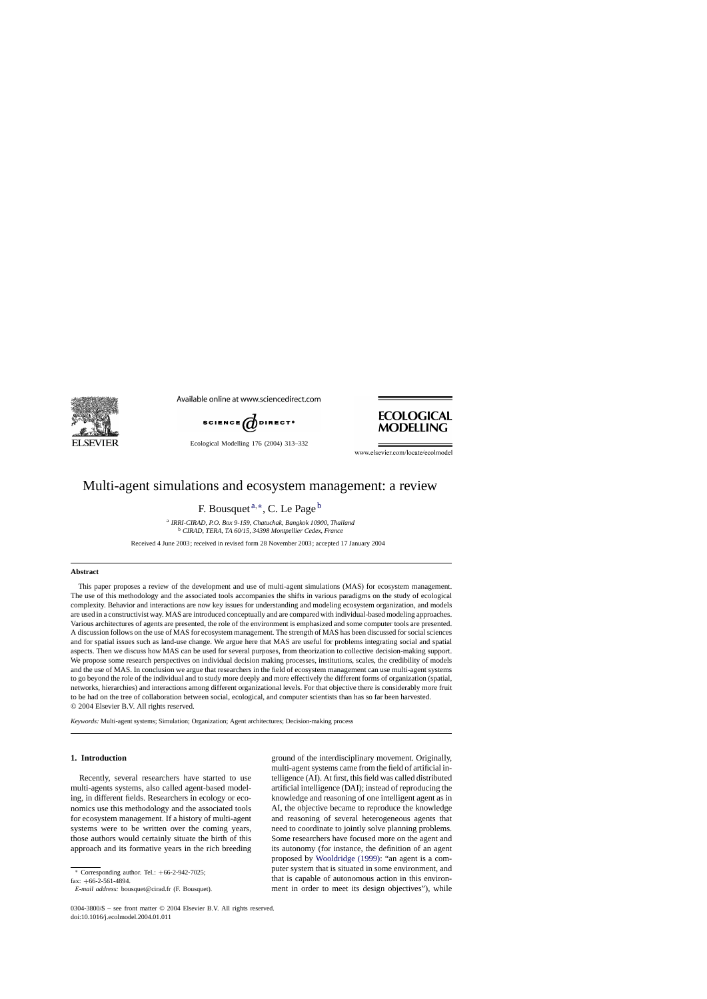

Available online at www.sciencedirect.com



Ecological Modelling 176 (2004) 313–332



www.elsevier.com/locate/ecolmodel

# Multi-agent simulations and ecosystem management: a review

# F. Bousquet<sup>a,\*</sup>, C. Le Page<sup>b</sup>

<sup>a</sup> *IRRI-CIRAD, P.O. Box 9-159, Chatuchak, Bangkok 10900, Thailand* <sup>b</sup> *CIRAD, TERA, TA 60/15, 34398 Montpellier Cedex, France*

Received 4 June 2003; received in revised form 28 November 2003; accepted 17 January 2004

#### **Abstract**

This paper proposes a review of the development and use of multi-agent simulations (MAS) for ecosystem management. The use of this methodology and the associated tools accompanies the shifts in various paradigms on the study of ecological complexity. Behavior and interactions are now key issues for understanding and modeling ecosystem organization, and models are used in a constructivist way. MAS are introduced conceptually and are compared with individual-based modeling approaches. Various architectures of agents are presented, the role of the environment is emphasized and some computer tools are presented. A discussion follows on the use of MAS for ecosystem management. The strength of MAS has been discussed for social sciences and for spatial issues such as land-use change. We argue here that MAS are useful for problems integrating social and spatial aspects. Then we discuss how MAS can be used for several purposes, from theorization to collective decision-making support. We propose some research perspectives on individual decision making processes, institutions, scales, the credibility of models and the use of MAS. In conclusion we argue that researchers in the field of ecosystem management can use multi-agent systems to go beyond the role of the individual and to study more deeply and more effectively the different forms of organization (spatial, networks, hierarchies) and interactions among different organizational levels. For that objective there is considerably more fruit to be had on the tree of collaboration between social, ecological, and computer scientists than has so far been harvested. © 2004 Elsevier B.V. All rights reserved.

*Keywords:* Multi-agent systems; Simulation; Organization; Agent architectures; Decision-making process

### **1. Introduction**

Recently, several researchers have started to use multi-agents systems, also called agent-based modeling, in different fields. Researchers in ecology or economics use this methodology and the associated tools for ecosystem management. If a history of multi-agent systems were to be written over the coming years, those authors would certainly situate the birth of this approach and its formative years in the rich breeding

<sup>∗</sup> Corresponding author. Tel.: +66-2-942-7025;

ground of the interdisciplinary movement. Originally, multi-agent systems came from the field of artificial intelligence (AI). At first, this field was called distributed artificial intelligence (DAI); instead of reproducing the knowledge and reasoning of one intelligent agent as in AI, the objective became to reproduce the knowledge and reasoning of several heterogeneous agents that need to coordinate to jointly solve planning problems. Some researchers have focused more on the agent and its autonomy (for instance, the definition of an agent proposed by [Wooldridge \(1999\):](#page-19-0) "an agent is a computer system that is situated in some environment, and that is capable of autonomous action in this environment in order to meet its design objectives"), while

fax: +66-2-561-4894.

*E-mail address:* bousquet@cirad.fr (F. Bousquet).

<sup>0304-3800/\$ –</sup> see front matter © 2004 Elsevier B.V. All rights reserved. doi:10.1016/j.ecolmodel.2004.01.011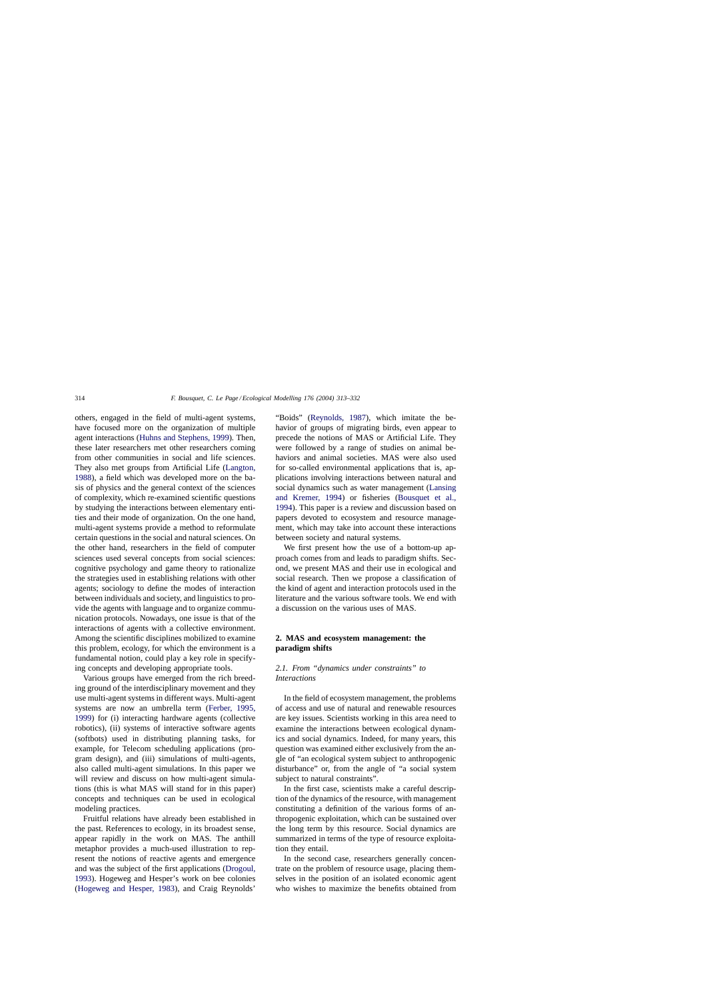others, engaged in the field of multi-agent systems, have focused more on the organization of multiple agent interactions [\(Huhns and Stephens, 1999\).](#page-17-0) Then, these later researchers met other researchers coming from other communities in social and life sciences. They also met groups from Artificial Life ([Langton,](#page-18-0) [1988\),](#page-18-0) a field which was developed more on the basis of physics and the general context of the sciences of complexity, which re-examined scientific questions by studying the interactions between elementary entities and their mode of organization. On the one hand, multi-agent systems provide a method to reformulate certain questions in the social and natural sciences. On the other hand, researchers in the field of computer sciences used several concepts from social sciences: cognitive psychology and game theory to rationalize the strategies used in establishing relations with other agents; sociology to define the modes of interaction between individuals and society, and linguistics to provide the agents with language and to organize communication protocols. Nowadays, one issue is that of the interactions of agents with a collective environment. Among the scientific disciplines mobilized to examine this problem, ecology, for which the environment is a fundamental notion, could play a key role in specifying concepts and developing appropriate tools.

Various groups have emerged from the rich breeding ground of the interdisciplinary movement and they use multi-agent systems in different ways. Multi-agent systems are now an umbrella term ([Ferber, 1995,](#page-17-0) [1999\)](#page-17-0) for (i) interacting hardware agents (collective robotics), (ii) systems of interactive software agents (softbots) used in distributing planning tasks, for example, for Telecom scheduling applications (program design), and (iii) simulations of multi-agents, also called multi-agent simulations. In this paper we will review and discuss on how multi-agent simulations (this is what MAS will stand for in this paper) concepts and techniques can be used in ecological modeling practices.

Fruitful relations have already been established in the past. References to ecology, in its broadest sense, appear rapidly in the work on MAS. The anthill metaphor provides a much-used illustration to represent the notions of reactive agents and emergence and was the subject of the first applications ([Drogoul,](#page-17-0) [1993\).](#page-17-0) Hogeweg and Hesper's work on bee colonies ([Hogeweg and Hesper, 1983\)](#page-17-0), and Craig Reynolds'

"Boids" ([Reynolds, 1987\)](#page-19-0), which imitate the behavior of groups of migrating birds, even appear to precede the notions of MAS or Artificial Life. They were followed by a range of studies on animal behaviors and animal societies. MAS were also used for so-called environmental applications that is, applications involving interactions between natural and social dynamics such as water management [\(Lansing](#page-18-0) [and Kremer, 1994](#page-18-0)) or fisheries [\(Bousquet et al.,](#page-16-0) [1994\).](#page-16-0) This paper is a review and discussion based on papers devoted to ecosystem and resource management, which may take into account these interactions between society and natural systems.

We first present how the use of a bottom-up approach comes from and leads to paradigm shifts. Second, we present MAS and their use in ecological and social research. Then we propose a classification of the kind of agent and interaction protocols used in the literature and the various software tools. We end with a discussion on the various uses of MAS.

# **2. MAS and ecosystem management: the paradigm shifts**

# *2.1. From "dynamics under constraints" to Interactions*

In the field of ecosystem management, the problems of access and use of natural and renewable resources are key issues. Scientists working in this area need to examine the interactions between ecological dynamics and social dynamics. Indeed, for many years, this question was examined either exclusively from the angle of "an ecological system subject to anthropogenic disturbance" or, from the angle of "a social system subject to natural constraints".

In the first case, scientists make a careful description of the dynamics of the resource, with management constituting a definition of the various forms of anthropogenic exploitation, which can be sustained over the long term by this resource. Social dynamics are summarized in terms of the type of resource exploitation they entail.

In the second case, researchers generally concentrate on the problem of resource usage, placing themselves in the position of an isolated economic agent who wishes to maximize the benefits obtained from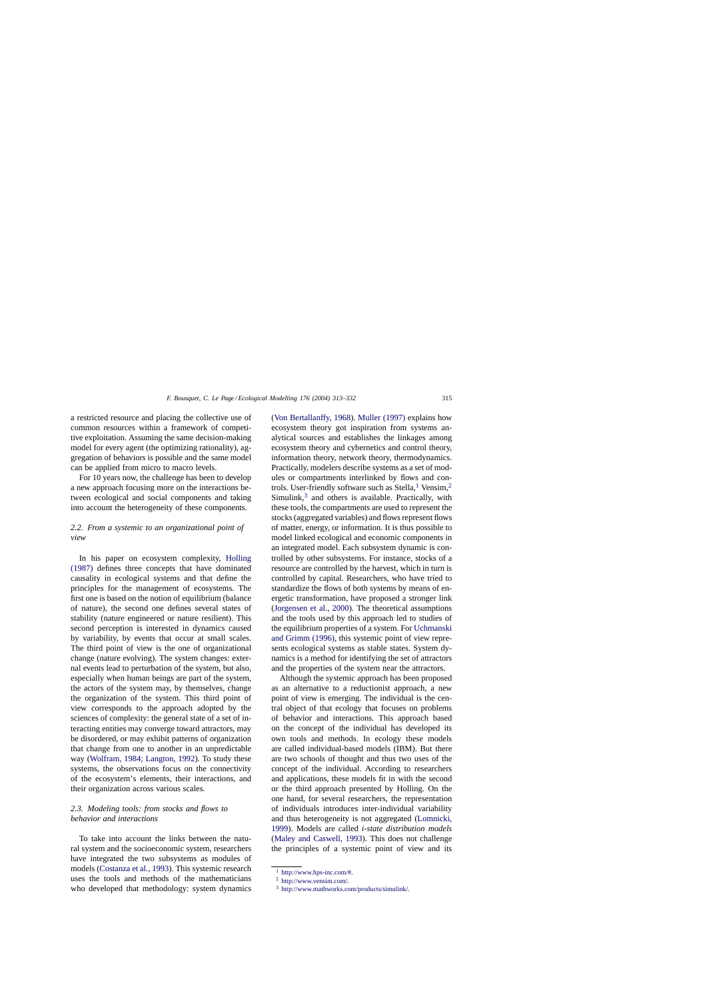a restricted resource and placing the collective use of common resources within a framework of competitive exploitation. Assuming the same decision-making model for every agent (the optimizing rationality), aggregation of behaviors is possible and the same model can be applied from micro to macro levels.

For 10 years now, the challenge has been to develop a new approach focusing more on the interactions between ecological and social components and taking into account the heterogeneity of these components.

# *2.2. From a systemic to an organizational point of view*

In his paper on ecosystem complexity, [Holling](#page-17-0) [\(1987\)](#page-17-0) defines three concepts that have dominated causality in ecological systems and that define the principles for the management of ecosystems. The first one is based on the notion of equilibrium (balance of nature), the second one defines several states of stability (nature engineered or nature resilient). This second perception is interested in dynamics caused by variability, by events that occur at small scales. The third point of view is the one of organizational change (nature evolving). The system changes: external events lead to perturbation of the system, but also, especially when human beings are part of the system, the actors of the system may, by themselves, change the organization of the system. This third point of view corresponds to the approach adopted by the sciences of complexity: the general state of a set of interacting entities may converge toward attractors, may be disordered, or may exhibit patterns of organization that change from one to another in an unpredictable way [\(Wolfram, 1984; Langton, 1992\).](#page-19-0) To study these systems, the observations focus on the connectivity of the ecosystem's elements, their interactions, and their organization across various scales.

# *2.3. Modeling tools: from stocks and flows to behavior and interactions*

To take into account the links between the natural system and the socioeconomic system, researchers have integrated the two subsystems as modules of models ([Costanza et al., 1993\).](#page-16-0) This systemic research uses the tools and methods of the mathematicians who developed that methodology: system dynamics

([Von Bertallanffy, 1968\).](#page-19-0) [Muller \(1997\)](#page-19-0) explains how ecosystem theory got inspiration from systems analytical sources and establishes the linkages among ecosystem theory and cybernetics and control theory, information theory, network theory, thermodynamics. Practically, modelers describe systems as a set of modules or compartments interlinked by flows and controls. User-friendly software such as  $Stella<sup>1</sup> Vensim<sup>2</sup>$ . Simulink, $3$  and others is available. Practically, with these tools, the compartments are used to represent the stocks (aggregated variables) and flows represent flows of matter, energy, or information. It is thus possible to model linked ecological and economic components in an integrated model. Each subsystem dynamic is controlled by other subsystems. For instance, stocks of a resource are controlled by the harvest, which in turn is controlled by capital. Researchers, who have tried to standardize the flows of both systems by means of energetic transformation, have proposed a stronger link ([Jorgensen et al., 2000\).](#page-18-0) The theoretical assumptions and the tools used by this approach led to studies of the equilibrium properties of a system. For [Uchmanski](#page-19-0) [and Grimm \(1996\), t](#page-19-0)his systemic point of view represents ecological systems as stable states. System dynamics is a method for identifying the set of attractors and the properties of the system near the attractors.

Although the systemic approach has been proposed as an alternative to a reductionist approach, a new point of view is emerging. The individual is the central object of that ecology that focuses on problems of behavior and interactions. This approach based on the concept of the individual has developed its own tools and methods. In ecology these models are called individual-based models (IBM). But there are two schools of thought and thus two uses of the concept of the individual. According to researchers and applications, these models fit in with the second or the third approach presented by Holling. On the one hand, for several researchers, the representation of individuals introduces inter-individual variability and thus heterogeneity is not aggregated [\(Lomnicki,](#page-18-0) [1999\).](#page-18-0) Models are called *i-state distribution models* ([Maley and Caswell, 1993\).](#page-18-0) This does not challenge the principles of a systemic point of view and its

<sup>1</sup> [http://www.hps-inc.com/#.](http://www.hps-inc.com)

<sup>2</sup> <http://www.vensim.com/>.

<sup>3</sup> <http://www.mathworks.com/products/simulink/>.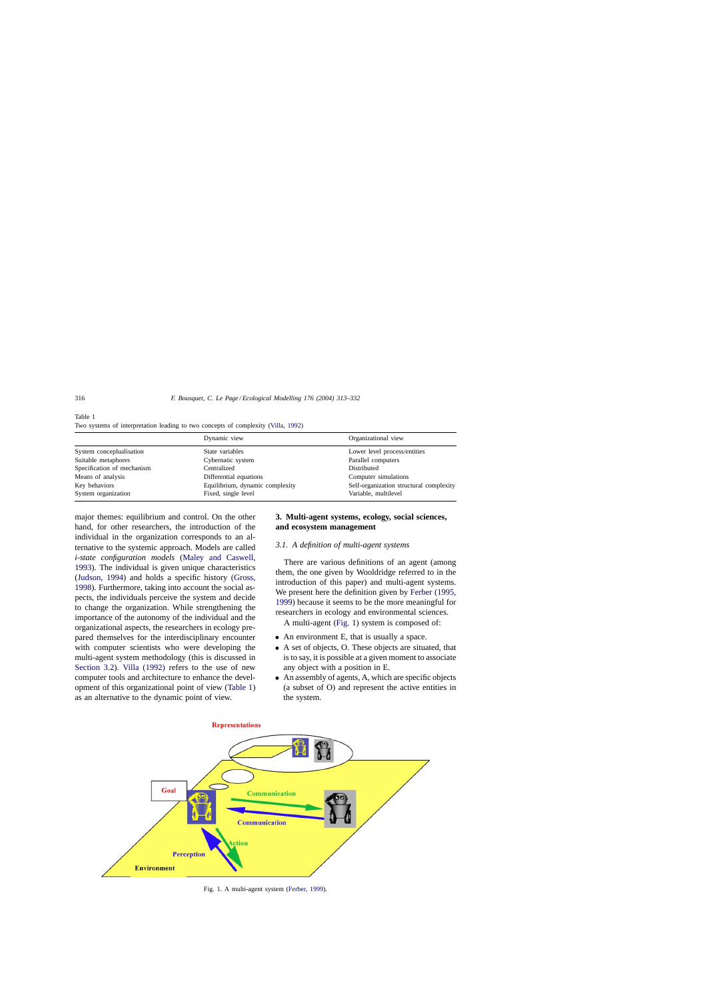|                            | Dynamic view                    | Organizational view                     |
|----------------------------|---------------------------------|-----------------------------------------|
| System conceplualisation   | State variables                 | Lower level process/entities            |
| Suitable metaphores        | Cybernatic system               | Parallel computers                      |
| Specification of mechanism | Centralized                     | Distributed                             |
| Means of analysis          | Differential equations          | Computer simulations                    |
| Key behaviors              | Equilibrium, dynamic complexity | Self-organization structural complexity |
| System organization        | Fixed, single level             | Variable, multilevel                    |

<span id="page-3-0"></span>Table 1 Two systems of interpretation leading to two concepts of complexity [\(Villa, 1992\)](#page-19-0)

major themes: equilibrium and control. On the other hand, for other researchers, the introduction of the individual in the organization corresponds to an alternative to the systemic approach. Models are called *i-state configuration models* ([Maley and Caswell,](#page-18-0) [1993\).](#page-18-0) The individual is given unique characteristics ([Judson, 1994\)](#page-18-0) and holds a specific history ([Gross,](#page-17-0) [1998\).](#page-17-0) Furthermore, taking into account the social aspects, the individuals perceive the system and decide to change the organization. While strengthening the importance of the autonomy of the individual and the organizational aspects, the researchers in ecology prepared themselves for the interdisciplinary encounter with computer scientists who were developing the multi-agent system methodology (this is discussed in [Section 3.2\).](#page-4-0) [Villa \(1992\)](#page-19-0) refers to the use of new computer tools and architecture to enhance the development of this organizational point of view (Table 1) as an alternative to the dynamic point of view.

## **3. Multi-agent systems, ecology, social sciences, and ecosystem management**

## *3.1. A definition of multi-agent systems*

There are various definitions of an agent (among them, the one given by Wooldridge referred to in the introduction of this paper) and multi-agent systems. We present here the definition given by [Ferber \(1995,](#page-17-0) [1999\)](#page-17-0) because it seems to be the more meaningful for researchers in ecology and environmental sciences.

A multi-agent (Fig. 1) system is composed of:

- An environment E, that is usually a space.
- A set of objects, O. These objects are situated, that is to say, it is possible at a given moment to associate any object with a position in E.
- An assembly of agents, A, which are specific objects (a subset of O) and represent the active entities in the system.



Fig. 1. A multi-agent system ([Ferber, 1999\).](#page-17-0)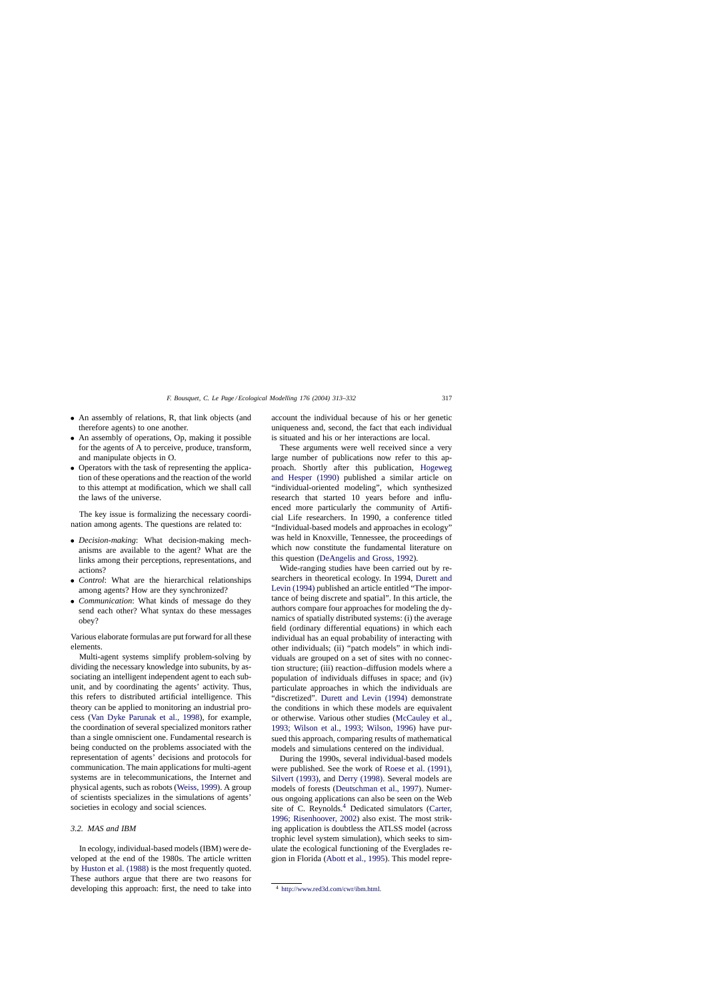- <span id="page-4-0"></span>• An assembly of relations, R, that link objects (and therefore agents) to one another.
- An assembly of operations, Op, making it possible for the agents of A to perceive, produce, transform, and manipulate objects in O.
- Operators with the task of representing the application of these operations and the reaction of the world to this attempt at modification, which we shall call the laws of the universe.

The key issue is formalizing the necessary coordination among agents. The questions are related to:

- *Decision-making*: What decision-making mechanisms are available to the agent? What are the links among their perceptions, representations, and actions?
- *Control*: What are the hierarchical relationships among agents? How are they synchronized?
- *Communication*: What kinds of message do they send each other? What syntax do these messages obey?

Various elaborate formulas are put forward for all these elements.

Multi-agent systems simplify problem-solving by dividing the necessary knowledge into subunits, by associating an intelligent independent agent to each subunit, and by coordinating the agents' activity. Thus, this refers to distributed artificial intelligence. This theory can be applied to monitoring an industrial process [\(Van Dyke Parunak et al., 1998](#page-19-0)), for example, the coordination of several specialized monitors rather than a single omniscient one. Fundamental research is being conducted on the problems associated with the representation of agents' decisions and protocols for communication. The main applications for multi-agent systems are in telecommunications, the Internet and physical agents, such as robots ([Weiss, 1999\).](#page-19-0) A group of scientists specializes in the simulations of agents' societies in ecology and social sciences.

# *3.2. MAS and IBM*

In ecology, individual-based models (IBM) were developed at the end of the 1980s. The article written by [Huston et al. \(1988\)](#page-17-0) is the most frequently quoted. These authors argue that there are two reasons for developing this approach: first, the need to take into

account the individual because of his or her genetic uniqueness and, second, the fact that each individual is situated and his or her interactions are local.

These arguments were well received since a very large number of publications now refer to this approach. Shortly after this publication, [Hogeweg](#page-17-0) [and Hesper \(1990\)](#page-17-0) published a similar article on "individual-oriented modeling", which synthesized research that started 10 years before and influenced more particularly the community of Artificial Life researchers. In 1990, a conference titled "Individual-based models and approaches in ecology" was held in Knoxville, Tennessee, the proceedings of which now constitute the fundamental literature on this question ([DeAngelis and Gross, 1992\).](#page-17-0)

Wide-ranging studies have been carried out by researchers in theoretical ecology. In 1994, [Durett and](#page-17-0) [Levin \(1994\)](#page-17-0) published an article entitled "The importance of being discrete and spatial". In this article, the authors compare four approaches for modeling the dynamics of spatially distributed systems: (i) the average field (ordinary differential equations) in which each individual has an equal probability of interacting with other individuals; (ii) "patch models" in which individuals are grouped on a set of sites with no connection structure; (iii) reaction–diffusion models where a population of individuals diffuses in space; and (iv) particulate approaches in which the individuals are "discretized". [Durett and Levin \(1994\)](#page-17-0) demonstrate the conditions in which these models are equivalent or otherwise. Various other studies [\(McCauley et al.,](#page-18-0) [1993; Wilson et al., 1993; Wilson, 1996](#page-18-0)) have pursued this approach, comparing results of mathematical models and simulations centered on the individual.

During the 1990s, several individual-based models were published. See the work of [Roese et al. \(1991\),](#page-19-0) [Silvert \(1993\),](#page-19-0) and [Derry \(1998\).](#page-17-0) Several models are models of forests [\(Deutschman et al., 1997\).](#page-17-0) Numerous ongoing applications can also be seen on the Web site of C. Reynolds.<sup>4</sup> Dedicated simulators ([Carter,](#page-16-0) [1996; Risenhoover, 2002\)](#page-16-0) also exist. The most striking application is doubtless the ATLSS model (across trophic level system simulation), which seeks to simulate the ecological functioning of the Everglades region in Florida ([Abott et al., 1995\).](#page-15-0) This model repre-

<sup>4</sup> <http://www.red3d.com/cwr/ibm.html>.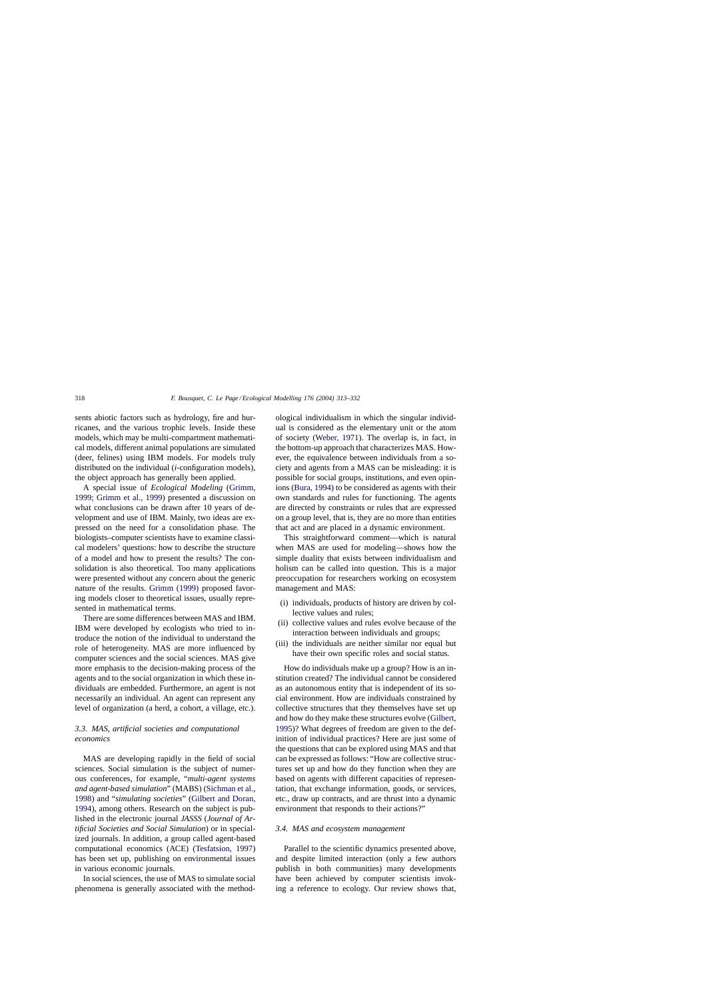sents abiotic factors such as hydrology, fire and hurricanes, and the various trophic levels. Inside these models, which may be multi-compartment mathematical models, different animal populations are simulated (deer, felines) using IBM models. For models truly distributed on the individual (*i*-configuration models), the object approach has generally been applied.

A special issue of *Ecological Modeling* [\(Grimm,](#page-17-0) [1999; Grimm et al., 1999\)](#page-17-0) presented a discussion on what conclusions can be drawn after 10 years of development and use of IBM. Mainly, two ideas are expressed on the need for a consolidation phase. The biologists–computer scientists have to examine classical modelers' questions: how to describe the structure of a model and how to present the results? The consolidation is also theoretical. Too many applications were presented without any concern about the generic nature of the results. [Grimm \(1999\)](#page-17-0) proposed favoring models closer to theoretical issues, usually represented in mathematical terms.

There are some differences between MAS and IBM. IBM were developed by ecologists who tried to introduce the notion of the individual to understand the role of heterogeneity. MAS are more influenced by computer sciences and the social sciences. MAS give more emphasis to the decision-making process of the agents and to the social organization in which these individuals are embedded. Furthermore, an agent is not necessarily an individual. An agent can represent any level of organization (a herd, a cohort, a village, etc.).

# *3.3. MAS, artificial societies and computational economics*

MAS are developing rapidly in the field of social sciences. Social simulation is the subject of numerous conferences, for example, "*multi-agent systems and agent-based simulation*" (MABS) ([Sichman et al.,](#page-19-0) [1998\)](#page-19-0) and "*simulating societies*" [\(Gilbert and Doran,](#page-17-0) [1994\),](#page-17-0) among others. Research on the subject is published in the electronic journal *JASSS* (*Journal of Artificial Societies and Social Simulation*) or in specialized journals. In addition, a group called agent-based computational economics (ACE) [\(Tesfatsion, 1997\)](#page-19-0) has been set up, publishing on environmental issues in various economic journals.

In social sciences, the use of MAS to simulate social phenomena is generally associated with the methodological individualism in which the singular individual is considered as the elementary unit or the atom of society ([Weber, 1971\).](#page-19-0) The overlap is, in fact, in the bottom-up approach that characterizes MAS. However, the equivalence between individuals from a society and agents from a MAS can be misleading: it is possible for social groups, institutions, and even opinions ([Bura, 1994\)](#page-16-0) to be considered as agents with their own standards and rules for functioning. The agents are directed by constraints or rules that are expressed on a group level, that is, they are no more than entities that act and are placed in a dynamic environment.

This straightforward comment—which is natural when MAS are used for modeling—shows how the simple duality that exists between individualism and holism can be called into question. This is a major preoccupation for researchers working on ecosystem management and MAS:

- (i) individuals, products of history are driven by collective values and rules;
- (ii) collective values and rules evolve because of the interaction between individuals and groups;
- (iii) the individuals are neither similar nor equal but have their own specific roles and social status.

How do individuals make up a group? How is an institution created? The individual cannot be considered as an autonomous entity that is independent of its social environment. How are individuals constrained by collective structures that they themselves have set up and how do they make these structures evolve ([Gilbert,](#page-17-0) [1995\)?](#page-17-0) What degrees of freedom are given to the definition of individual practices? Here are just some of the questions that can be explored using MAS and that can be expressed as follows: "How are collective structures set up and how do they function when they are based on agents with different capacities of representation, that exchange information, goods, or services, etc., draw up contracts, and are thrust into a dynamic environment that responds to their actions?"

#### *3.4. MAS and ecosystem management*

Parallel to the scientific dynamics presented above, and despite limited interaction (only a few authors publish in both communities) many developments have been achieved by computer scientists invoking a reference to ecology. Our review shows that,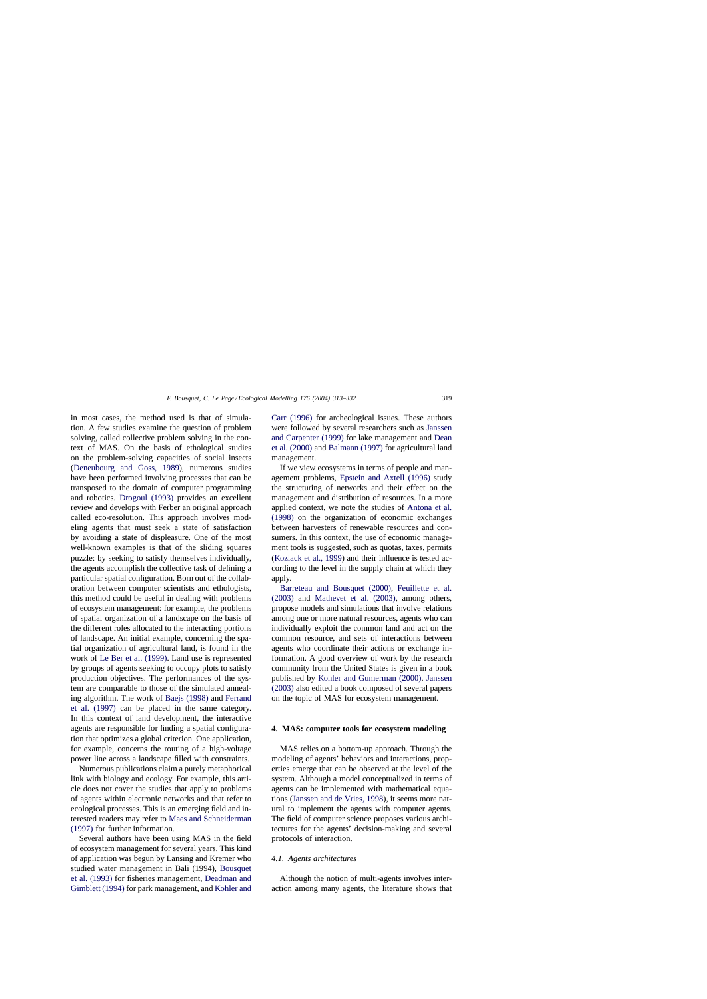in most cases, the method used is that of simulation. A few studies examine the question of problem solving, called collective problem solving in the context of MAS. On the basis of ethological studies on the problem-solving capacities of social insects ([Deneubourg and Goss, 198](#page-17-0)9), numerous studies have been performed involving processes that can be transposed to the domain of computer programming and robotics. [Drogoul \(1993\)](#page-17-0) provides an excellent review and develops with Ferber an original approach called eco-resolution. This approach involves modeling agents that must seek a state of satisfaction by avoiding a state of displeasure. One of the most well-known examples is that of the sliding squares puzzle: by seeking to satisfy themselves individually, the agents accomplish the collective task of defining a particular spatial configuration. Born out of the collaboration between computer scientists and ethologists, this method could be useful in dealing with problems of ecosystem management: for example, the problems of spatial organization of a landscape on the basis of the different roles allocated to the interacting portions of landscape. An initial example, concerning the spatial organization of agricultural land, is found in the work of [Le Ber et al. \(1999\).](#page-18-0) Land use is represented by groups of agents seeking to occupy plots to satisfy production objectives. The performances of the system are comparable to those of the simulated annealing algorithm. The work of [Baejs \(1998\)](#page-16-0) and [Ferrand](#page-17-0) [et al. \(1997\)](#page-17-0) can be placed in the same category. In this context of land development, the interactive agents are responsible for finding a spatial configuration that optimizes a global criterion. One application, for example, concerns the routing of a high-voltage power line across a landscape filled with constraints.

Numerous publications claim a purely metaphorical link with biology and ecology. For example, this article does not cover the studies that apply to problems of agents within electronic networks and that refer to ecological processes. This is an emerging field and interested readers may refer to [Maes and Schneiderman](#page-18-0) [\(1997\)](#page-18-0) for further information.

Several authors have been using MAS in the field of ecosystem management for several years. This kind of application was begun by Lansing and Kremer who studied water management in Bali (1994), [Bousquet](#page-16-0) [et al. \(1993\)](#page-16-0) for fisheries management, [Deadman and](#page-16-0) [Gimblett \(1994\)](#page-16-0) for park management, and [Kohler and](#page-18-0)

[Carr \(1996\)](#page-18-0) for archeological issues. These authors were followed by several researchers such as [Janssen](#page-18-0) [and Carpenter \(1999\)](#page-18-0) for lake management and [Dean](#page-17-0) [et al. \(2000\)](#page-17-0) and [Balmann \(1997\)](#page-16-0) for agricultural land management.

If we view ecosystems in terms of people and management problems, [Epstein and Axtell \(1996\)](#page-17-0) study the structuring of networks and their effect on the management and distribution of resources. In a more applied context, we note the studies of [Antona et al.](#page-16-0) [\(1998\)](#page-16-0) on the organization of economic exchanges between harvesters of renewable resources and consumers. In this context, the use of economic management tools is suggested, such as quotas, taxes, permits ([Kozlack et al., 1999\)](#page-18-0) and their influence is tested according to the level in the supply chain at which they apply.

[Barreteau and Bousquet \(2000\)](#page-16-0), [Feuillette et al.](#page-17-0) [\(2003\)](#page-17-0) and [Mathevet et al. \(2003\)](#page-18-0), among others, propose models and simulations that involve relations among one or more natural resources, agents who can individually exploit the common land and act on the common resource, and sets of interactions between agents who coordinate their actions or exchange information. A good overview of work by the research community from the United States is given in a book published by [Kohler and Gumerman \(2000\).](#page-18-0) [Janssen](#page-18-0) [\(2003\)](#page-18-0) also edited a book composed of several papers on the topic of MAS for ecosystem management.

## **4. MAS: computer tools for ecosystem modeling**

MAS relies on a bottom-up approach. Through the modeling of agents' behaviors and interactions, properties emerge that can be observed at the level of the system. Although a model conceptualized in terms of agents can be implemented with mathematical equations ([Janssen and de Vries, 1998\),](#page-18-0) it seems more natural to implement the agents with computer agents. The field of computer science proposes various architectures for the agents' decision-making and several protocols of interaction.

#### *4.1. Agents architectures*

Although the notion of multi-agents involves interaction among many agents, the literature shows that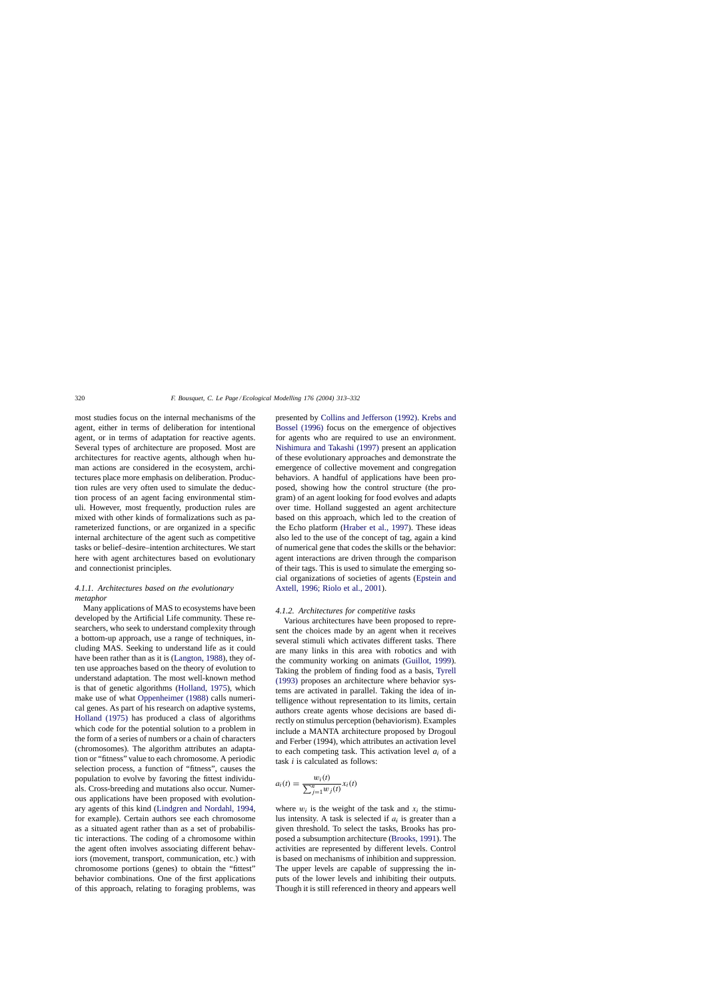<span id="page-7-0"></span>most studies focus on the internal mechanisms of the agent, either in terms of deliberation for intentional agent, or in terms of adaptation for reactive agents. Several types of architecture are proposed. Most are architectures for reactive agents, although when human actions are considered in the ecosystem, architectures place more emphasis on deliberation. Production rules are very often used to simulate the deduction process of an agent facing environmental stimuli. However, most frequently, production rules are mixed with other kinds of formalizations such as parameterized functions, or are organized in a specific internal architecture of the agent such as competitive tasks or belief–desire–intention architectures. We start here with agent architectures based on evolutionary and connectionist principles.

# *4.1.1. Architectures based on the evolutionary metaphor*

Many applications of MAS to ecosystems have been developed by the Artificial Life community. These researchers, who seek to understand complexity through a bottom-up approach, use a range of techniques, including MAS. Seeking to understand life as it could have been rather than as it is [\(Langton, 1988\),](#page-18-0) they often use approaches based on the theory of evolution to understand adaptation. The most well-known method is that of genetic algorithms [\(Holland, 1975\),](#page-17-0) which make use of what [Oppenheimer \(1988\)](#page-19-0) calls numerical genes. As part of his research on adaptive systems, [Holland \(1975\)](#page-17-0) has produced a class of algorithms which code for the potential solution to a problem in the form of a series of numbers or a chain of characters (chromosomes). The algorithm attributes an adaptation or "fitness" value to each chromosome. A periodic selection process, a function of "fitness", causes the population to evolve by favoring the fittest individuals. Cross-breeding and mutations also occur. Numerous applications have been proposed with evolutionary agents of this kind ([Lindgren and Nordahl, 1994,](#page-18-0) for example). Certain authors see each chromosome as a situated agent rather than as a set of probabilistic interactions. The coding of a chromosome within the agent often involves associating different behaviors (movement, transport, communication, etc.) with chromosome portions (genes) to obtain the "fittest" behavior combinations. One of the first applications of this approach, relating to foraging problems, was presented by [Collins and Jefferson \(1992\).](#page-16-0) [Krebs and](#page-18-0) [Bossel \(1996\)](#page-18-0) focus on the emergence of objectives for agents who are required to use an environment. [Nishimura and Takashi \(1997\)](#page-19-0) present an application of these evolutionary approaches and demonstrate the emergence of collective movement and congregation behaviors. A handful of applications have been proposed, showing how the control structure (the program) of an agent looking for food evolves and adapts over time. Holland suggested an agent architecture based on this approach, which led to the creation of the Echo platform [\(Hraber et al., 1997\).](#page-17-0) These ideas also led to the use of the concept of tag, again a kind of numerical gene that codes the skills or the behavior: agent interactions are driven through the comparison of their tags. This is used to simulate the emerging social organizations of societies of agents ([Epstein and](#page-17-0) [Axtell, 1996; Riolo et al., 2001\).](#page-17-0)

## *4.1.2. Architectures for competitive tasks*

Various architectures have been proposed to represent the choices made by an agent when it receives several stimuli which activates different tasks. There are many links in this area with robotics and with the community working on animats [\(Guillot, 1999\).](#page-17-0) Taking the problem of finding food as a basis, [Tyrell](#page-19-0) [\(1993\)](#page-19-0) proposes an architecture where behavior systems are activated in parallel. Taking the idea of intelligence without representation to its limits, certain authors create agents whose decisions are based directly on stimulus perception (behaviorism). Examples include a MANTA architecture proposed by Drogoul and Ferber (1994), which attributes an activation level to each competing task. This activation level  $a_i$  of a task *i* is calculated as follows:

$$
a_i(t) = \frac{w_i(t)}{\sum_{j=1}^n w_j(t)} x_i(t)
$$

where  $w_i$  is the weight of the task and  $x_i$  the stimulus intensity. A task is selected if  $a_i$  is greater than a given threshold. To select the tasks, Brooks has proposed a subsumption architecture [\(Brooks, 1991\).](#page-16-0) The activities are represented by different levels. Control is based on mechanisms of inhibition and suppression. The upper levels are capable of suppressing the inputs of the lower levels and inhibiting their outputs. Though it is still referenced in theory and appears well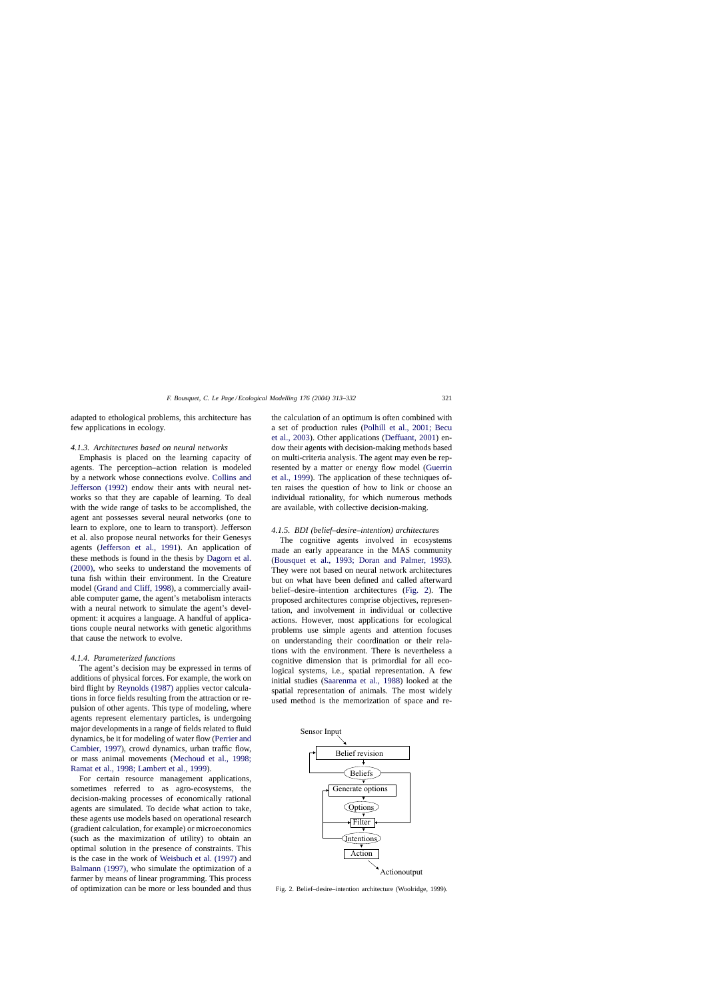adapted to ethological problems, this architecture has few applications in ecology.

# *4.1.3. Architectures based on neural networks*

Emphasis is placed on the learning capacity of agents. The perception–action relation is modeled by a network whose connections evolve. [Collins and](#page-16-0) [Jefferson \(1992\)](#page-16-0) endow their ants with neural networks so that they are capable of learning. To deal with the wide range of tasks to be accomplished, the agent ant possesses several neural networks (one to learn to explore, one to learn to transport). Jefferson et al. also propose neural networks for their Genesys agents ([Jefferson et al., 1991](#page-18-0)). An application of these methods is found in the thesis by [Dagorn et al.](#page-16-0) [\(2000\),](#page-16-0) who seeks to understand the movements of tuna fish within their environment. In the Creature model [\(Grand and Cliff, 1998\),](#page-17-0) a commercially available computer game, the agent's metabolism interacts with a neural network to simulate the agent's development: it acquires a language. A handful of applications couple neural networks with genetic algorithms that cause the network to evolve.

### *4.1.4. Parameterized functions*

The agent's decision may be expressed in terms of additions of physical forces. For example, the work on bird flight by [Reynolds \(1987\)](#page-19-0) applies vector calculations in force fields resulting from the attraction or repulsion of other agents. This type of modeling, where agents represent elementary particles, is undergoing major developments in a range of fields related to fluid dynamics, be it for modeling of water flow [\(Perrier and](#page-19-0) [Cambier, 1997\),](#page-19-0) crowd dynamics, urban traffic flow, or mass animal movements [\(Mechoud et al., 1998;](#page-18-0) [Ramat et al., 1998; Lambert et al., 1999\).](#page-18-0)

For certain resource management applications, sometimes referred to as agro-ecosystems, the decision-making processes of economically rational agents are simulated. To decide what action to take, these agents use models based on operational research (gradient calculation, for example) or microeconomics (such as the maximization of utility) to obtain an optimal solution in the presence of constraints. This is the case in the work of [Weisbuch et al. \(1997\)](#page-19-0) and [Balmann \(1997\),](#page-16-0) who simulate the optimization of a farmer by means of linear programming. This process of optimization can be more or less bounded and thus

the calculation of an optimum is often combined with a set of production rules [\(Polhill et al., 2001; Becu](#page-19-0) [et al., 2003\).](#page-19-0) Other applications ([Deffuant, 2001\)](#page-17-0) endow their agents with decision-making methods based on multi-criteria analysis. The agent may even be represented by a matter or energy flow model ([Guerrin](#page-17-0) [et al., 1999\).](#page-17-0) The application of these techniques often raises the question of how to link or choose an individual rationality, for which numerous methods are available, with collective decision-making.

## *4.1.5. BDI (belief–desire–intention) architectures*

The cognitive agents involved in ecosystems made an early appearance in the MAS community ([Bousquet et al., 1993; Doran and Palmer, 19](#page-16-0)93). They were not based on neural network architectures but on what have been defined and called afterward belief–desire–intention architectures (Fig. 2). The proposed architectures comprise objectives, representation, and involvement in individual or collective actions. However, most applications for ecological problems use simple agents and attention focuses on understanding their coordination or their relations with the environment. There is nevertheless a cognitive dimension that is primordial for all ecological systems, i.e., spatial representation. A few initial studies ([Saarenma et al., 1988\)](#page-19-0) looked at the spatial representation of animals. The most widely used method is the memorization of space and re-



Fig. 2. Belief–desire–intention architecture (Woolridge, 1999).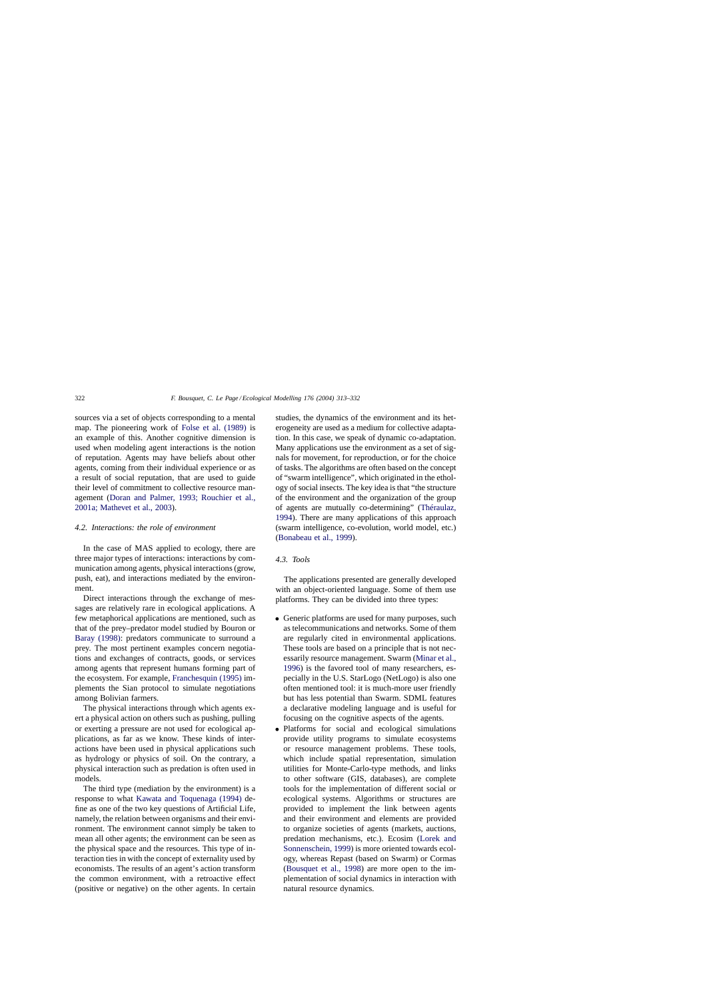<span id="page-9-0"></span>sources via a set of objects corresponding to a mental map. The pioneering work of [Folse et al. \(1989\)](#page-17-0) is an example of this. Another cognitive dimension is used when modeling agent interactions is the notion of reputation. Agents may have beliefs about other agents, coming from their individual experience or as a result of social reputation, that are used to guide their level of commitment to collective resource management ([Doran and Palmer, 1993; Rouchier et al.,](#page-17-0) [2001a; Mathevet et al., 2003\).](#page-17-0)

## *4.2. Interactions: the role of environment*

In the case of MAS applied to ecology, there are three major types of interactions: interactions by communication among agents, physical interactions (grow, push, eat), and interactions mediated by the environment.

Direct interactions through the exchange of messages are relatively rare in ecological applications. A few metaphorical applications are mentioned, such as that of the prey–predator model studied by Bouron or [Baray \(1998\):](#page-16-0) predators communicate to surround a prey. The most pertinent examples concern negotiations and exchanges of contracts, goods, or services among agents that represent humans forming part of the ecosystem. For example, [Franchesquin \(1995\)](#page-17-0) implements the Sian protocol to simulate negotiations among Bolivian farmers.

The physical interactions through which agents exert a physical action on others such as pushing, pulling or exerting a pressure are not used for ecological applications, as far as we know. These kinds of interactions have been used in physical applications such as hydrology or physics of soil. On the contrary, a physical interaction such as predation is often used in models.

The third type (mediation by the environment) is a response to what [Kawata and Toquenaga \(1994\)](#page-18-0) define as one of the two key questions of Artificial Life, namely, the relation between organisms and their environment. The environment cannot simply be taken to mean all other agents; the environment can be seen as the physical space and the resources. This type of interaction ties in with the concept of externality used by economists. The results of an agent's action transform the common environment, with a retroactive effect (positive or negative) on the other agents. In certain studies, the dynamics of the environment and its heterogeneity are used as a medium for collective adaptation. In this case, we speak of dynamic co-adaptation. Many applications use the environment as a set of signals for movement, for reproduction, or for the choice of tasks. The algorithms are often based on the concept of "swarm intelligence", which originated in the ethology of social insects. The key idea is that "the structure of the environment and the organization of the group of agents are mutually co-determining" [\(Théraulaz,](#page-19-0) [1994\).](#page-19-0) There are many applications of this approach (swarm intelligence, co-evolution, world model, etc.) ([Bonabeau et al., 1999\).](#page-16-0)

# *4.3. Tools*

The applications presented are generally developed with an object-oriented language. Some of them use platforms. They can be divided into three types:

- Generic platforms are used for many purposes, such as telecommunications and networks. Some of them are regularly cited in environmental applications. These tools are based on a principle that is not necessarily resource management. Swarm ([Minar et al.,](#page-18-0) [1996\)](#page-18-0) is the favored tool of many researchers, especially in the U.S. StarLogo (NetLogo) is also one often mentioned tool: it is much-more user friendly but has less potential than Swarm. SDML features a declarative modeling language and is useful for focusing on the cognitive aspects of the agents.
- Platforms for social and ecological simulations provide utility programs to simulate ecosystems or resource management problems. These tools, which include spatial representation, simulation utilities for Monte-Carlo-type methods, and links to other software (GIS, databases), are complete tools for the implementation of different social or ecological systems. Algorithms or structures are provided to implement the link between agents and their environment and elements are provided to organize societies of agents (markets, auctions, predation mechanisms, etc.). Ecosim [\(Lorek and](#page-18-0) [Sonnenschein, 1999\) i](#page-18-0)s more oriented towards ecology, whereas Repast (based on Swarm) or Cormas [\(Bousquet et al., 1998\)](#page-16-0) are more open to the implementation of social dynamics in interaction with natural resource dynamics.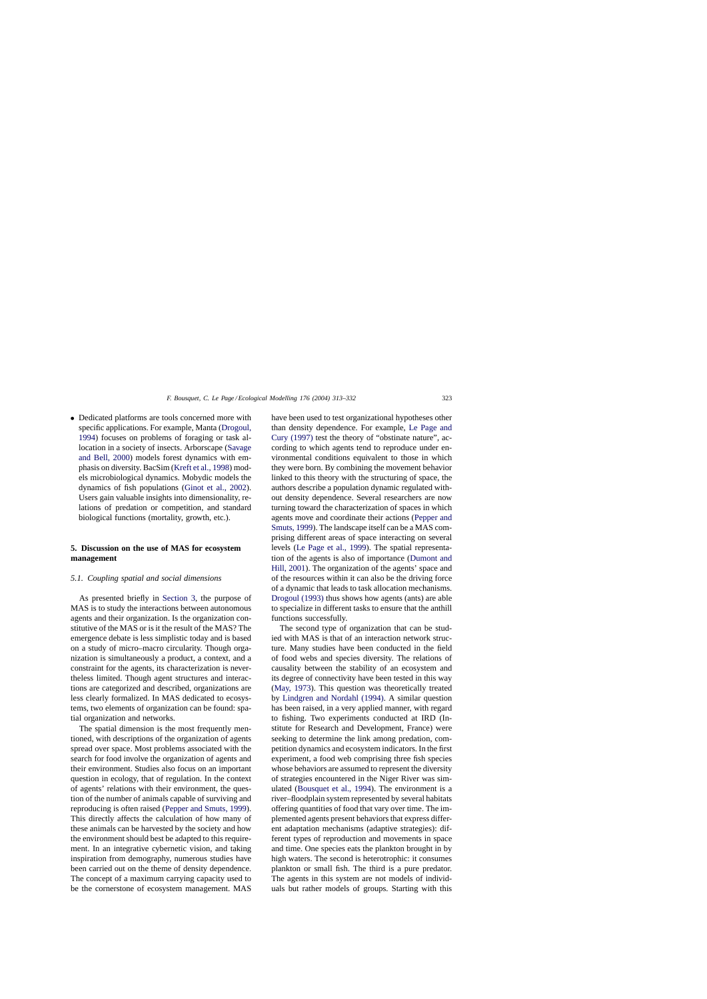• Dedicated platforms are tools concerned more with specific applications. For example, Manta ([Drogoul,](#page-17-0) [1994\)](#page-17-0) focuses on problems of foraging or task allocation in a society of insects. Arborscape [\(Savage](#page-19-0) [and Bell, 2000\)](#page-19-0) models forest dynamics with emphasis on diversity. BacSim [\(Kreft et al., 1998\) m](#page-18-0)odels microbiological dynamics. Mobydic models the dynamics of fish populations [\(Ginot et al., 2002\)](#page-17-0). Users gain valuable insights into dimensionality, relations of predation or competition, and standard biological functions (mortality, growth, etc.).

# **5. Discussion on the use of MAS for ecosystem management**

## *5.1. Coupling spatial and social dimensions*

As presented briefly in [Section 3,](#page-3-0) the purpose of MAS is to study the interactions between autonomous agents and their organization. Is the organization constitutive of the MAS or is it the result of the MAS? The emergence debate is less simplistic today and is based on a study of micro–macro circularity. Though organization is simultaneously a product, a context, and a constraint for the agents, its characterization is nevertheless limited. Though agent structures and interactions are categorized and described, organizations are less clearly formalized. In MAS dedicated to ecosystems, two elements of organization can be found: spatial organization and networks.

The spatial dimension is the most frequently mentioned, with descriptions of the organization of agents spread over space. Most problems associated with the search for food involve the organization of agents and their environment. Studies also focus on an important question in ecology, that of regulation. In the context of agents' relations with their environment, the question of the number of animals capable of surviving and reproducing is often raised ([Pepper and Smuts, 1999\).](#page-19-0) This directly affects the calculation of how many of these animals can be harvested by the society and how the environment should best be adapted to this requirement. In an integrative cybernetic vision, and taking inspiration from demography, numerous studies have been carried out on the theme of density dependence. The concept of a maximum carrying capacity used to be the cornerstone of ecosystem management. MAS

have been used to test organizational hypotheses other than density dependence. For example, [Le Page and](#page-18-0) [Cury \(1997\)](#page-18-0) test the theory of "obstinate nature", according to which agents tend to reproduce under environmental conditions equivalent to those in which they were born. By combining the movement behavior linked to this theory with the structuring of space, the authors describe a population dynamic regulated without density dependence. Several researchers are now turning toward the characterization of spaces in which agents move and coordinate their actions ([Pepper and](#page-19-0) [Smuts, 1999\).](#page-19-0) The landscape itself can be a MAS comprising different areas of space interacting on several levels [\(Le Page et al., 1999\)](#page-18-0). The spatial representation of the agents is also of importance ([Dumont and](#page-17-0) [Hill, 2001\).](#page-17-0) The organization of the agents' space and of the resources within it can also be the driving force of a dynamic that leads to task allocation mechanisms. [Drogoul \(1993\)](#page-17-0) thus shows how agents (ants) are able to specialize in different tasks to ensure that the anthill functions successfully.

The second type of organization that can be studied with MAS is that of an interaction network structure. Many studies have been conducted in the field of food webs and species diversity. The relations of causality between the stability of an ecosystem and its degree of connectivity have been tested in this way ([May, 1973\).](#page-18-0) This question was theoretically treated by [Lindgren and Nordahl \(1994\).](#page-18-0) A similar question has been raised, in a very applied manner, with regard to fishing. Two experiments conducted at IRD (Institute for Research and Development, France) were seeking to determine the link among predation, competition dynamics and ecosystem indicators. In the first experiment, a food web comprising three fish species whose behaviors are assumed to represent the diversity of strategies encountered in the Niger River was simulated ([Bousquet et al., 1994\).](#page-16-0) The environment is a river–floodplain system represented by several habitats offering quantities of food that vary over time. The implemented agents present behaviors that express different adaptation mechanisms (adaptive strategies): different types of reproduction and movements in space and time. One species eats the plankton brought in by high waters. The second is heterotrophic: it consumes plankton or small fish. The third is a pure predator. The agents in this system are not models of individuals but rather models of groups. Starting with this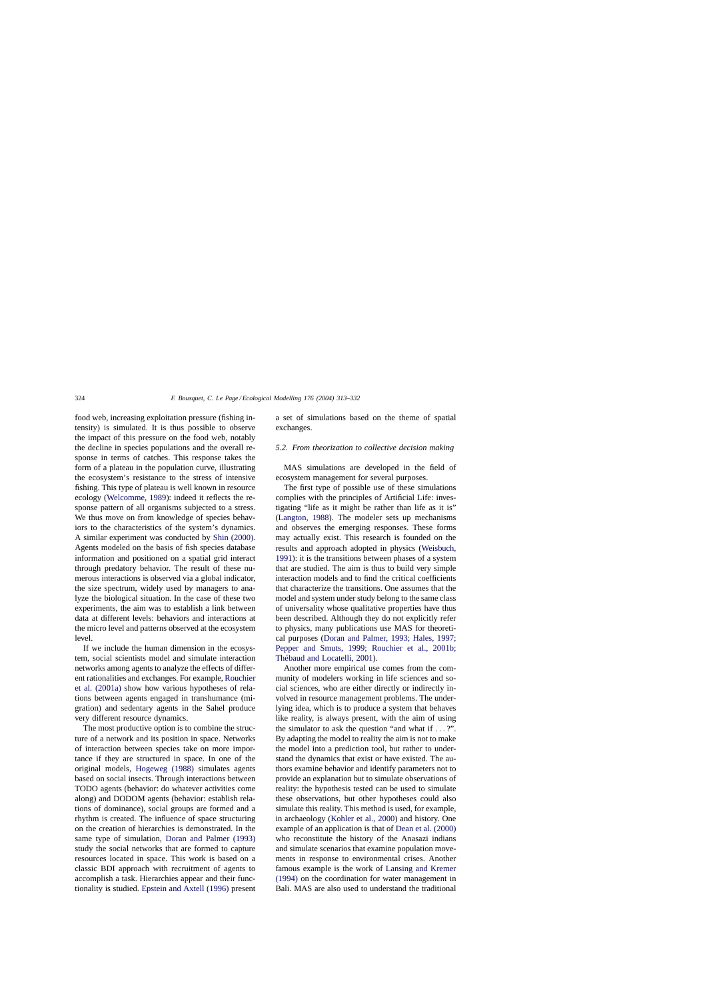food web, increasing exploitation pressure (fishing intensity) is simulated. It is thus possible to observe the impact of this pressure on the food web, notably the decline in species populations and the overall response in terms of catches. This response takes the form of a plateau in the population curve, illustrating the ecosystem's resistance to the stress of intensive fishing. This type of plateau is well known in resource ecology [\(Welcomme, 1989\):](#page-19-0) indeed it reflects the response pattern of all organisms subjected to a stress. We thus move on from knowledge of species behaviors to the characteristics of the system's dynamics. A similar experiment was conducted by [Shin \(2000\).](#page-19-0) Agents modeled on the basis of fish species database information and positioned on a spatial grid interact through predatory behavior. The result of these numerous interactions is observed via a global indicator, the size spectrum, widely used by managers to analyze the biological situation. In the case of these two experiments, the aim was to establish a link between data at different levels: behaviors and interactions at the micro level and patterns observed at the ecosystem level.

If we include the human dimension in the ecosystem, social scientists model and simulate interaction networks among agents to analyze the effects of different rationalities and exchanges. For example, [Rouchier](#page-19-0) [et al. \(2001a\)](#page-19-0) show how various hypotheses of relations between agents engaged in transhumance (migration) and sedentary agents in the Sahel produce very different resource dynamics.

The most productive option is to combine the structure of a network and its position in space. Networks of interaction between species take on more importance if they are structured in space. In one of the original models, [Hogeweg \(1988\)](#page-17-0) simulates agents based on social insects. Through interactions between TODO agents (behavior: do whatever activities come along) and DODOM agents (behavior: establish relations of dominance), social groups are formed and a rhythm is created. The influence of space structuring on the creation of hierarchies is demonstrated. In the same type of simulation, [Doran and Palmer \(1993\)](#page-17-0) study the social networks that are formed to capture resources located in space. This work is based on a classic BDI approach with recruitment of agents to accomplish a task. Hierarchies appear and their functionality is studied. [Epstein and Axtell \(1996\)](#page-17-0) present a set of simulations based on the theme of spatial exchanges.

### *5.2. From theorization to collective decision making*

MAS simulations are developed in the field of ecosystem management for several purposes.

The first type of possible use of these simulations complies with the principles of Artificial Life: investigating "life as it might be rather than life as it is" ([Langton, 1988\)](#page-18-0). The modeler sets up mechanisms and observes the emerging responses. These forms may actually exist. This research is founded on the results and approach adopted in physics [\(Weisbuch,](#page-19-0) [1991\):](#page-19-0) it is the transitions between phases of a system that are studied. The aim is thus to build very simple interaction models and to find the critical coefficients that characterize the transitions. One assumes that the model and system under study belong to the same class of universality whose qualitative properties have thus been described. Although they do not explicitly refer to physics, many publications use MAS for theoretical purposes ([Doran and Palmer, 1993; Hales, 1997;](#page-17-0) [Pepper and Smuts, 1999; Rouchier et al., 2001b;](#page-17-0) [Thébaud and Locatelli, 2001\).](#page-17-0)

Another more empirical use comes from the community of modelers working in life sciences and social sciences, who are either directly or indirectly involved in resource management problems. The underlying idea, which is to produce a system that behaves like reality, is always present, with the aim of using the simulator to ask the question "and what if ... ?". By adapting the model to reality the aim is not to make the model into a prediction tool, but rather to understand the dynamics that exist or have existed. The authors examine behavior and identify parameters not to provide an explanation but to simulate observations of reality: the hypothesis tested can be used to simulate these observations, but other hypotheses could also simulate this reality. This method is used, for example, in archaeology [\(Kohler et al., 2000\)](#page-18-0) and history. One example of an application is that of [Dean et al. \(2000\)](#page-17-0) who reconstitute the history of the Anasazi indians and simulate scenarios that examine population movements in response to environmental crises. Another famous example is the work of [Lansing and Kremer](#page-18-0) [\(1994\)](#page-18-0) on the coordination for water management in Bali. MAS are also used to understand the traditional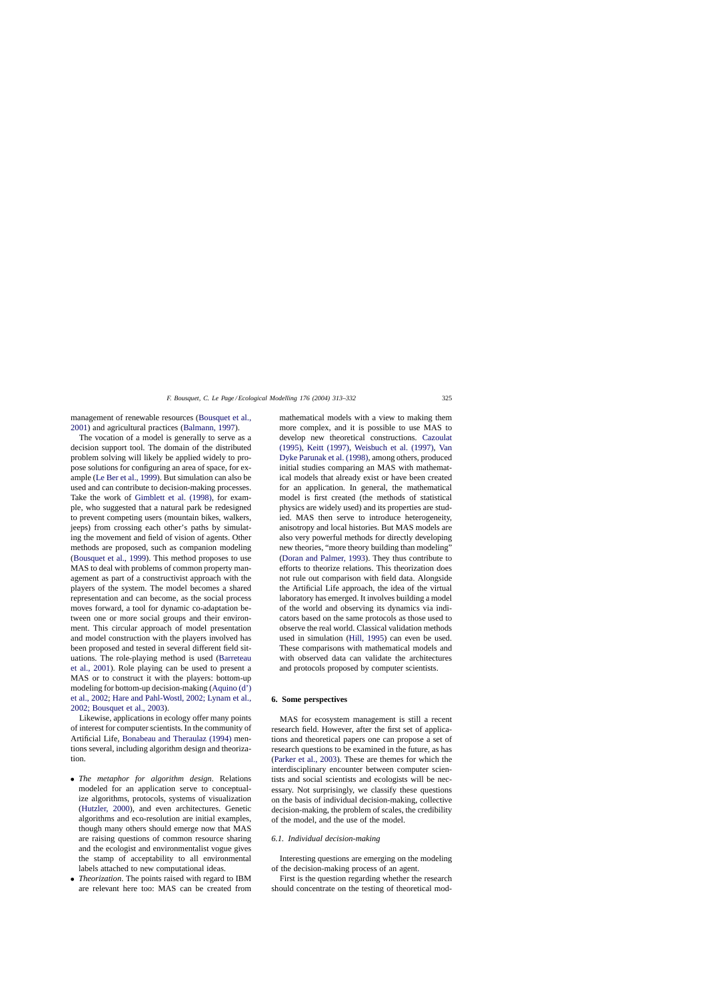management of renewable resources ([Bousquet et al.,](#page-16-0) [2001\)](#page-16-0) and agricultural practices ([Balmann, 1997\).](#page-16-0)

The vocation of a model is generally to serve as a decision support tool. The domain of the distributed problem solving will likely be applied widely to propose solutions for configuring an area of space, for example [\(Le Ber et al., 1999\).](#page-18-0) But simulation can also be used and can contribute to decision-making processes. Take the work of [Gimblett et al. \(1998\),](#page-17-0) for example, who suggested that a natural park be redesigned to prevent competing users (mountain bikes, walkers, jeeps) from crossing each other's paths by simulating the movement and field of vision of agents. Other methods are proposed, such as companion modeling ([Bousquet et al., 1999\).](#page-16-0) This method proposes to use MAS to deal with problems of common property management as part of a constructivist approach with the players of the system. The model becomes a shared representation and can become, as the social process moves forward, a tool for dynamic co-adaptation between one or more social groups and their environment. This circular approach of model presentation and model construction with the players involved has been proposed and tested in several different field situations. The role-playing method is used ([Barreteau](#page-16-0) [et al., 2001\).](#page-16-0) Role playing can be used to present a MAS or to construct it with the players: bottom-up modeling for bottom-up decision-making ([Aquino \(d'\)](#page-16-0) [et al., 2002;](#page-16-0) [Hare and Pahl-Wostl, 2002; Lynam et al.,](#page-17-0) [2002; Bousquet et al., 2003\).](#page-17-0)

Likewise, applications in ecology offer many points of interest for computer scientists. In the community of Artificial Life, [Bonabeau and Theraulaz \(1994\)](#page-16-0) mentions several, including algorithm design and theorization.

- *The metaphor for algorithm design*. Relations modeled for an application serve to conceptualize algorithms, protocols, systems of visualization [\(Hutzler, 2000\)](#page-17-0), and even architectures. Genetic algorithms and eco-resolution are initial examples, though many others should emerge now that MAS are raising questions of common resource sharing and the ecologist and environmentalist vogue gives the stamp of acceptability to all environmental labels attached to new computational ideas.
- *Theorization*. The points raised with regard to IBM are relevant here too: MAS can be created from

mathematical models with a view to making them more complex, and it is possible to use MAS to develop new theoretical constructions. [Cazoulat](#page-16-0) [\(1995\),](#page-16-0) [Keitt \(1997\),](#page-18-0) [Weisbuch et al. \(1997\),](#page-19-0) [Van](#page-19-0) [Dyke Parunak et al. \(1998\), a](#page-19-0)mong others, produced initial studies comparing an MAS with mathematical models that already exist or have been created for an application. In general, the mathematical model is first created (the methods of statistical physics are widely used) and its properties are studied. MAS then serve to introduce heterogeneity, anisotropy and local histories. But MAS models are also very powerful methods for directly developing new theories, "more theory building than modeling" [\(Doran and Palmer, 1993\).](#page-17-0) They thus contribute to efforts to theorize relations. This theorization does not rule out comparison with field data. Alongside the Artificial Life approach, the idea of the virtual laboratory has emerged. It involves building a model of the world and observing its dynamics via indicators based on the same protocols as those used to observe the real world. Classical validation methods used in simulation ([Hill, 1995\)](#page-17-0) can even be used. These comparisons with mathematical models and with observed data can validate the architectures and protocols proposed by computer scientists.

## **6. Some perspectives**

MAS for ecosystem management is still a recent research field. However, after the first set of applications and theoretical papers one can propose a set of research questions to be examined in the future, as has ([Parker et al., 2003\).](#page-19-0) These are themes for which the interdisciplinary encounter between computer scientists and social scientists and ecologists will be necessary. Not surprisingly, we classify these questions on the basis of individual decision-making, collective decision-making, the problem of scales, the credibility of the model, and the use of the model.

#### *6.1. Individual decision-making*

Interesting questions are emerging on the modeling of the decision-making process of an agent.

First is the question regarding whether the research should concentrate on the testing of theoretical mod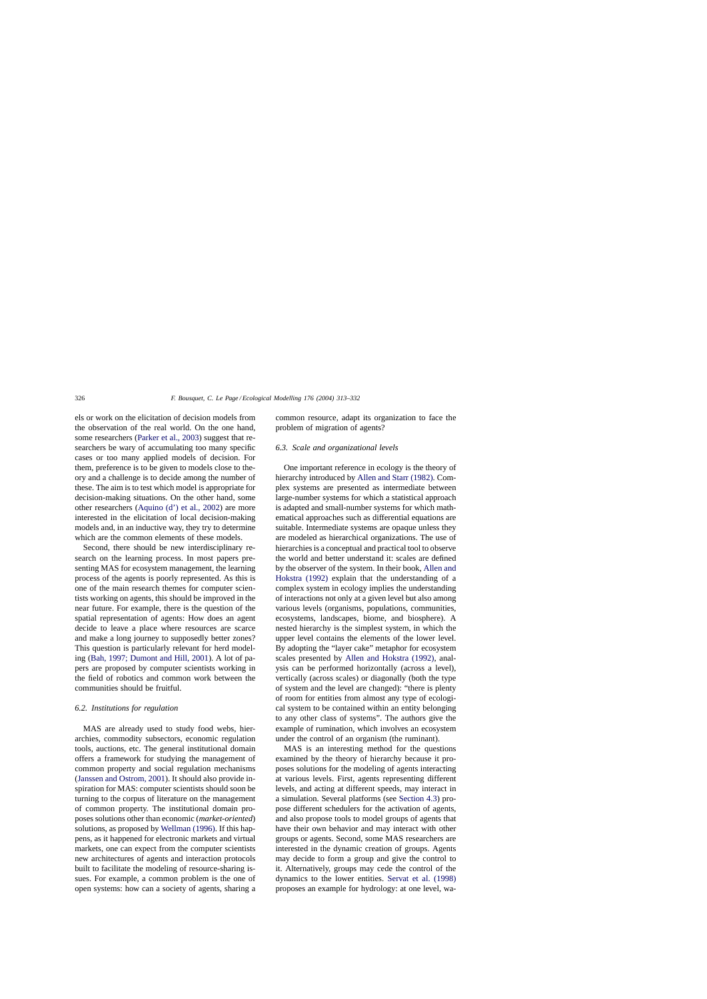els or work on the elicitation of decision models from the observation of the real world. On the one hand, some researchers ([Parker et al., 2003\)](#page-19-0) suggest that researchers be wary of accumulating too many specific cases or too many applied models of decision. For them, preference is to be given to models close to theory and a challenge is to decide among the number of these. The aim is to test which model is appropriate for decision-making situations. On the other hand, some other researchers [\(Aquino \(d'\) et al., 2002\)](#page-16-0) are more interested in the elicitation of local decision-making models and, in an inductive way, they try to determine which are the common elements of these models.

Second, there should be new interdisciplinary research on the learning process. In most papers presenting MAS for ecosystem management, the learning process of the agents is poorly represented. As this is one of the main research themes for computer scientists working on agents, this should be improved in the near future. For example, there is the question of the spatial representation of agents: How does an agent decide to leave a place where resources are scarce and make a long journey to supposedly better zones? This question is particularly relevant for herd modeling [\(Bah, 1997; Dumont and Hill, 2001\).](#page-16-0) A lot of papers are proposed by computer scientists working in the field of robotics and common work between the communities should be fruitful.

## *6.2. Institutions for regulation*

MAS are already used to study food webs, hierarchies, commodity subsectors, economic regulation tools, auctions, etc. The general institutional domain offers a framework for studying the management of common property and social regulation mechanisms ([Janssen and Ostrom, 2001\).](#page-18-0) It should also provide inspiration for MAS: computer scientists should soon be turning to the corpus of literature on the management of common property. The institutional domain proposes solutions other than economic (*market-oriented*) solutions, as proposed by [Wellman \(1996\). I](#page-19-0)f this happens, as it happened for electronic markets and virtual markets, one can expect from the computer scientists new architectures of agents and interaction protocols built to facilitate the modeling of resource-sharing issues. For example, a common problem is the one of open systems: how can a society of agents, sharing a common resource, adapt its organization to face the problem of migration of agents?

## *6.3. Scale and organizational levels*

One important reference in ecology is the theory of hierarchy introduced by [Allen and Starr \(1982\). C](#page-16-0)omplex systems are presented as intermediate between large-number systems for which a statistical approach is adapted and small-number systems for which mathematical approaches such as differential equations are suitable. Intermediate systems are opaque unless they are modeled as hierarchical organizations. The use of hierarchies is a conceptual and practical tool to observe the world and better understand it: scales are defined by the observer of the system. In their book, [Allen and](#page-16-0) [Hokstra \(1992\)](#page-16-0) explain that the understanding of a complex system in ecology implies the understanding of interactions not only at a given level but also among various levels (organisms, populations, communities, ecosystems, landscapes, biome, and biosphere). A nested hierarchy is the simplest system, in which the upper level contains the elements of the lower level. By adopting the "layer cake" metaphor for ecosystem scales presented by [Allen and Hokstra \(1992\),](#page-16-0) analysis can be performed horizontally (across a level), vertically (across scales) or diagonally (both the type of system and the level are changed): "there is plenty of room for entities from almost any type of ecological system to be contained within an entity belonging to any other class of systems". The authors give the example of rumination, which involves an ecosystem under the control of an organism (the ruminant).

MAS is an interesting method for the questions examined by the theory of hierarchy because it proposes solutions for the modeling of agents interacting at various levels. First, agents representing different levels, and acting at different speeds, may interact in a simulation. Several platforms (see [Section 4.3\)](#page-9-0) propose different schedulers for the activation of agents, and also propose tools to model groups of agents that have their own behavior and may interact with other groups or agents. Second, some MAS researchers are interested in the dynamic creation of groups. Agents may decide to form a group and give the control to it. Alternatively, groups may cede the control of the dynamics to the lower entities. [Servat et al. \(1998\)](#page-19-0) proposes an example for hydrology: at one level, wa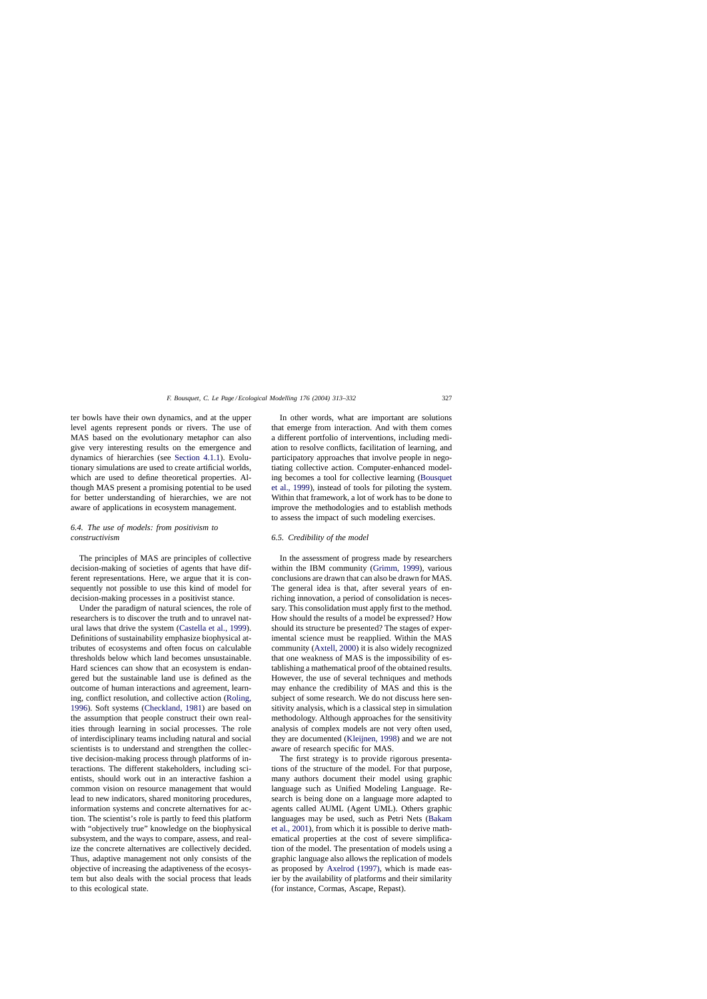ter bowls have their own dynamics, and at the upper level agents represent ponds or rivers. The use of MAS based on the evolutionary metaphor can also give very interesting results on the emergence and dynamics of hierarchies (see [Section 4.1.1\).](#page-7-0) Evolutionary simulations are used to create artificial worlds, which are used to define theoretical properties. Although MAS present a promising potential to be used for better understanding of hierarchies, we are not aware of applications in ecosystem management.

# *6.4. The use of models: from positivism to constructivism*

The principles of MAS are principles of collective decision-making of societies of agents that have different representations. Here, we argue that it is consequently not possible to use this kind of model for decision-making processes in a positivist stance.

Under the paradigm of natural sciences, the role of researchers is to discover the truth and to unravel natural laws that drive the system ([Castella et al., 1999\).](#page-16-0) Definitions of sustainability emphasize biophysical attributes of ecosystems and often focus on calculable thresholds below which land becomes unsustainable. Hard sciences can show that an ecosystem is endangered but the sustainable land use is defined as the outcome of human interactions and agreement, learning, conflict resolution, and collective action ([Roling,](#page-19-0) [1996\).](#page-19-0) Soft systems [\(Checkland, 1981\)](#page-16-0) are based on the assumption that people construct their own realities through learning in social processes. The role of interdisciplinary teams including natural and social scientists is to understand and strengthen the collective decision-making process through platforms of interactions. The different stakeholders, including scientists, should work out in an interactive fashion a common vision on resource management that would lead to new indicators, shared monitoring procedures, information systems and concrete alternatives for action. The scientist's role is partly to feed this platform with "objectively true" knowledge on the biophysical subsystem, and the ways to compare, assess, and realize the concrete alternatives are collectively decided. Thus, adaptive management not only consists of the objective of increasing the adaptiveness of the ecosystem but also deals with the social process that leads to this ecological state.

In other words, what are important are solutions that emerge from interaction. And with them comes a different portfolio of interventions, including mediation to resolve conflicts, facilitation of learning, and participatory approaches that involve people in negotiating collective action. Computer-enhanced modeling becomes a tool for collective learning ([Bousquet](#page-16-0) [et al., 1999\),](#page-16-0) instead of tools for piloting the system. Within that framework, a lot of work has to be done to improve the methodologies and to establish methods to assess the impact of such modeling exercises.

#### *6.5. Credibility of the model*

In the assessment of progress made by researchers within the IBM community ([Grimm, 1999\),](#page-17-0) various conclusions are drawn that can also be drawn for MAS. The general idea is that, after several years of enriching innovation, a period of consolidation is necessary. This consolidation must apply first to the method. How should the results of a model be expressed? How should its structure be presented? The stages of experimental science must be reapplied. Within the MAS community ([Axtell, 2000\) i](#page-16-0)t is also widely recognized that one weakness of MAS is the impossibility of establishing a mathematical proof of the obtained results. However, the use of several techniques and methods may enhance the credibility of MAS and this is the subject of some research. We do not discuss here sensitivity analysis, which is a classical step in simulation methodology. Although approaches for the sensitivity analysis of complex models are not very often used, they are documented [\(Kleijnen, 1998\)](#page-18-0) and we are not aware of research specific for MAS.

The first strategy is to provide rigorous presentations of the structure of the model. For that purpose, many authors document their model using graphic language such as Unified Modeling Language. Research is being done on a language more adapted to agents called AUML (Agent UML). Others graphic languages may be used, such as Petri Nets [\(Bakam](#page-16-0) [et al., 2001\),](#page-16-0) from which it is possible to derive mathematical properties at the cost of severe simplification of the model. The presentation of models using a graphic language also allows the replication of models as proposed by [Axelrod \(1997\),](#page-16-0) which is made easier by the availability of platforms and their similarity (for instance, Cormas, Ascape, Repast).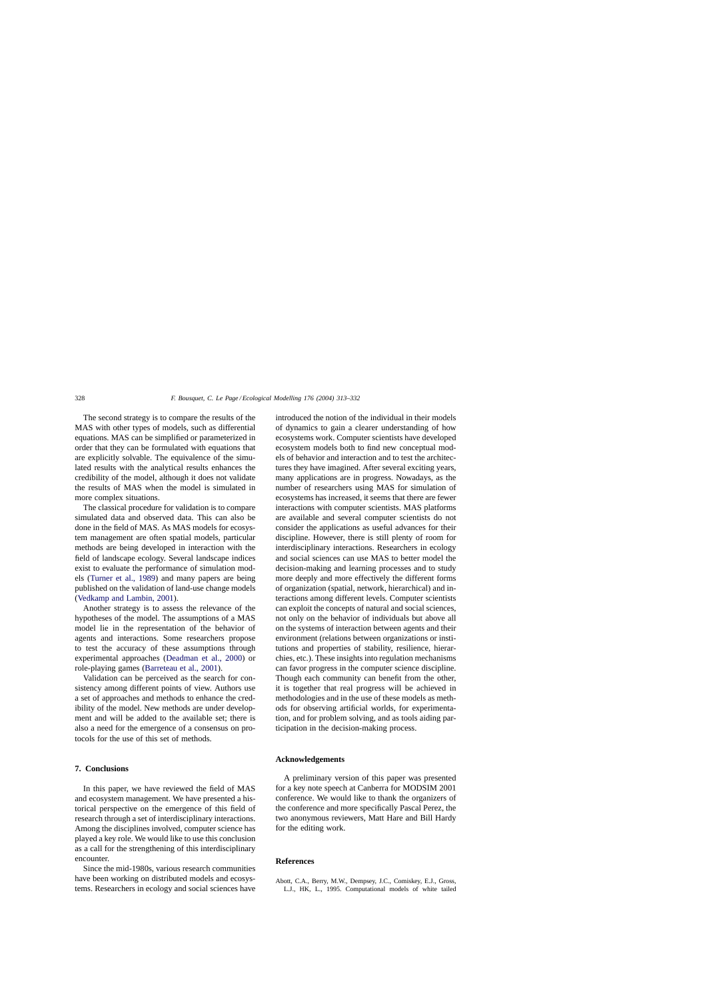<span id="page-15-0"></span>The second strategy is to compare the results of the MAS with other types of models, such as differential equations. MAS can be simplified or parameterized in order that they can be formulated with equations that are explicitly solvable. The equivalence of the simulated results with the analytical results enhances the credibility of the model, although it does not validate the results of MAS when the model is simulated in more complex situations.

The classical procedure for validation is to compare simulated data and observed data. This can also be done in the field of MAS. As MAS models for ecosystem management are often spatial models, particular methods are being developed in interaction with the field of landscape ecology. Several landscape indices exist to evaluate the performance of simulation models ([Turner et al., 1989\)](#page-19-0) and many papers are being published on the validation of land-use change models ([Vedkamp and Lambin, 2001\).](#page-19-0)

Another strategy is to assess the relevance of the hypotheses of the model. The assumptions of a MAS model lie in the representation of the behavior of agents and interactions. Some researchers propose to test the accuracy of these assumptions through experimental approaches ([Deadman et al., 2000\)](#page-16-0) or role-playing games ([Barreteau et al., 2001\).](#page-16-0)

Validation can be perceived as the search for consistency among different points of view. Authors use a set of approaches and methods to enhance the credibility of the model. New methods are under development and will be added to the available set; there is also a need for the emergence of a consensus on protocols for the use of this set of methods.

## **7. Conclusions**

In this paper, we have reviewed the field of MAS and ecosystem management. We have presented a historical perspective on the emergence of this field of research through a set of interdisciplinary interactions. Among the disciplines involved, computer science has played a key role. We would like to use this conclusion as a call for the strengthening of this interdisciplinary encounter.

Since the mid-1980s, various research communities have been working on distributed models and ecosystems. Researchers in ecology and social sciences have introduced the notion of the individual in their models of dynamics to gain a clearer understanding of how ecosystems work. Computer scientists have developed ecosystem models both to find new conceptual models of behavior and interaction and to test the architectures they have imagined. After several exciting years, many applications are in progress. Nowadays, as the number of researchers using MAS for simulation of ecosystems has increased, it seems that there are fewer interactions with computer scientists. MAS platforms are available and several computer scientists do not consider the applications as useful advances for their discipline. However, there is still plenty of room for interdisciplinary interactions. Researchers in ecology and social sciences can use MAS to better model the decision-making and learning processes and to study more deeply and more effectively the different forms of organization (spatial, network, hierarchical) and interactions among different levels. Computer scientists can exploit the concepts of natural and social sciences, not only on the behavior of individuals but above all on the systems of interaction between agents and their environment (relations between organizations or institutions and properties of stability, resilience, hierarchies, etc.). These insights into regulation mechanisms can favor progress in the computer science discipline. Though each community can benefit from the other, it is together that real progress will be achieved in methodologies and in the use of these models as methods for observing artificial worlds, for experimentation, and for problem solving, and as tools aiding participation in the decision-making process.

#### **Acknowledgements**

A preliminary version of this paper was presented for a key note speech at Canberra for MODSIM 2001 conference. We would like to thank the organizers of the conference and more specifically Pascal Perez, the two anonymous reviewers, Matt Hare and Bill Hardy for the editing work.

#### **References**

Abott, C.A., Berry, M.W., Dempsey, J.C., Comiskey, E.J., Gross, L.J., HK, L., 1995. Computational models of white tailed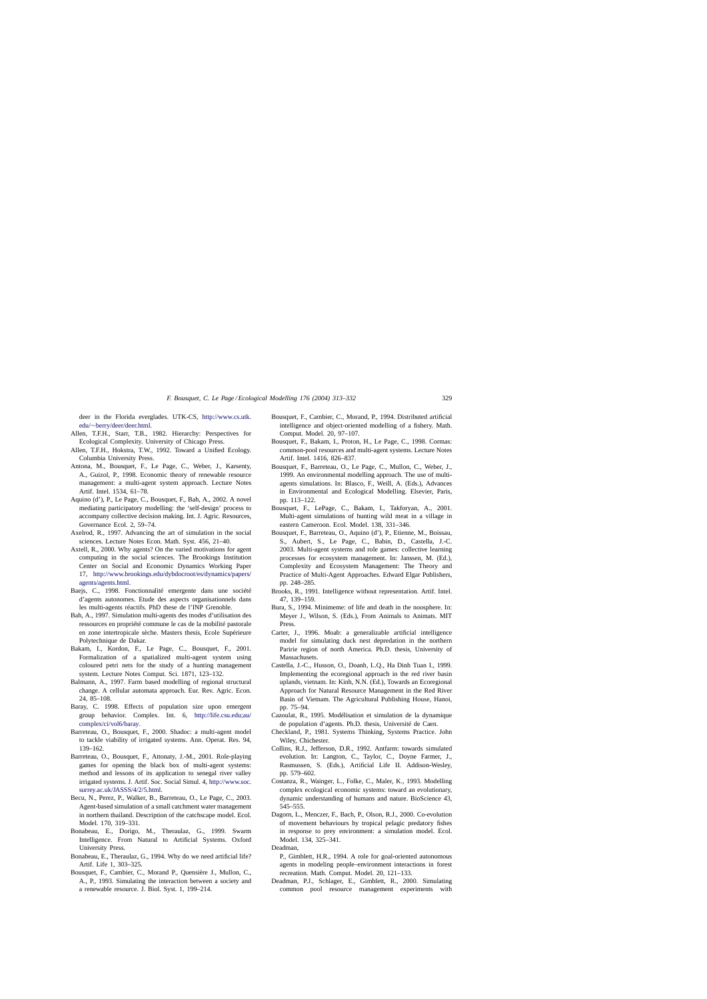<span id="page-16-0"></span>deer in the Florida everglades. UTK-CS, [http://www.cs.utk.](http://www.cs.utk.edu/~berry/deer/deer.html) edu/∼[berry/deer/deer.html](http://www.cs.utk.edu/~berry/deer/deer.html).

- Allen, T.F.H., Starr, T.B., 1982. Hierarchy: Perspectives for Ecological Complexity. University of Chicago Press.
- Allen, T.F.H., Hokstra, T.W., 1992. Toward a Unified Ecology. Columbia University Press.
- Antona, M., Bousquet, F., Le Page, C., Weber, J., Karsenty, A., Guizol, P., 1998. Economic theory of renewable resource management: a multi-agent system approach. Lecture Notes Artif. Intel. 1534, 61–78.
- Aquino (d'), P., Le Page, C., Bousquet, F., Bah, A., 2002. A novel mediating participatory modelling: the 'self-design' process to accompany collective decision making. Int. J. Agric. Resources, Governance Ecol. 2, 59–74.
- Axelrod, R., 1997. Advancing the art of simulation in the social sciences. Lecture Notes Econ. Math. Syst. 456, 21–40.
- Axtell, R., 2000. Why agents? On the varied motivations for agent computing in the social sciences. The Brookings Institution Center on Social and Economic Dynamics Working Paper 17, [http://www.brookings.edu/dybdocroot/es/dynamics/papers/](http://www.brookings.edu/dybdocroot/es/dynamics/papers/agents/agents.html) [agents/agents.html.](http://www.brookings.edu/dybdocroot/es/dynamics/papers/agents/agents.html)
- Baejs, C., 1998. Fonctionnalité emergente dans une société d'agents autonomes. Etude des aspects organisationnels dans les multi-agents réactifs. PhD these de l'INP Grenoble.
- Bah, A., 1997. Simulation multi-agents des modes d'utilisation des ressources en propriété commune le cas de la mobilité pastorale en zone intertropicale sèche. Masters thesis, Ecole Supérieure Polytechnique de Dakar.
- Bakam, I., Kordon, F., Le Page, C., Bousquet, F., 2001. Formalization of a spatialized multi-agent system using coloured petri nets for the study of a hunting management system. Lecture Notes Comput. Sci. 1871, 123–132.
- Balmann, A., 1997. Farm based modelling of regional structural change. A cellular automata approach. Eur. Rev. Agric. Econ. 24, 85–108.
- Baray, C. 1998. Effects of population size upon emergent group behavior. Complex. Int. 6, [http://life.csu.edu;au/](http://life.csu.edu;au/complex/ci/vol6/baray) [complex/ci/vol6/baray.](http://life.csu.edu;au/complex/ci/vol6/baray)
- Barreteau, O., Bousquet, F., 2000. Shadoc: a multi-agent model to tackle viability of irrigated systems. Ann. Operat. Res. 94, 139–162.
- Barreteau, O., Bousquet, F., Attonaty, J.-M., 2001. Role-playing games for opening the black box of multi-agent systems: method and lessons of its application to senegal river valley irrigated systems. J. Artif. Soc. Social Simul. 4, [http://www.soc.](http://www.soc.surrey.ac.uk/JASSS/4/2/5.html) [surrey.ac.uk/JASSS/4/2/5.html.](http://www.soc.surrey.ac.uk/JASSS/4/2/5.html)
- Becu, N., Perez, P., Walker, B., Barreteau, O., Le Page, C., 2003. Agent-based simulation of a small catchment water management in northern thailand. Description of the catchscape model. Ecol. Model. 170, 319–331.
- Bonabeau, E., Dorigo, M., Theraulaz, G., 1999. Swarm Intelligence. From Natural to Artificial Systems. Oxford University Press.
- Bonabeau, E., Theraulaz, G., 1994. Why do we need artificial life? Artif. Life 1, 303–325.
- Bousquet, F., Cambier, C., Morand P., Quensière J., Mullon, C., A., P., 1993. Simulating the interaction between a society and a renewable resource. J. Biol. Syst. 1, 199–214.
- Bousquet, F., Cambier, C., Morand, P., 1994. Distributed artificial intelligence and object-oriented modelling of a fishery. Math. Comput. Model. 20, 97–107.
- Bousquet, F., Bakam, I., Proton, H., Le Page, C., 1998. Cormas: common-pool resources and multi-agent systems. Lecture Notes Artif. Intel. 1416, 826–837.
- Bousquet, F., Barreteau, O., Le Page, C., Mullon, C., Weber, J., 1999. An environmental modelling approach. The use of multiagents simulations. In: Blasco, F., Weill, A. (Eds.), Advances in Environmental and Ecological Modelling. Elsevier, Paris, pp. 113–122.
- Bousquet, F., LePage, C., Bakam, I., Takforyan, A., 2001. Multi-agent simulations of hunting wild meat in a village in eastern Cameroon. Ecol. Model. 138, 331–346.
- Bousquet, F., Barreteau, O., Aquino (d'), P., Etienne, M., Boissau, S., Aubert, S., Le Page, C., Babin, D., Castella, J.-C. 2003. Multi-agent systems and role games: collective learning processes for ecosystem management. In: Janssen, M. (Ed.), Complexity and Ecosystem Management: The Theory and Practice of Multi-Agent Approaches. Edward Elgar Publishers, pp. 248–285.
- Brooks, R., 1991. Intelligence without representation. Artif. Intel. 47, 139–159.
- Bura, S., 1994. Minimeme: of life and death in the noosphere. In: Meyer J., Wilson, S. (Eds.), From Animals to Animats. MIT Press.
- Carter, J., 1996. Moab: a generalizable artificial intelligence model for simulating duck nest depredation in the northern Paririe region of north America. Ph.D. thesis, University of Massachusets.
- Castella, J.-C., Husson, O., Doanh, L.Q., Ha Dinh Tuan I., 1999. Implementing the ecoregional approach in the red river basin uplands, vietnam. In: Kinh, N.N. (Ed.), Towards an Ecoregional Approach for Natural Resource Management in the Red River Basin of Vietnam. The Agricultural Publishing House, Hanoi, pp. 75–94.
- Cazoulat, R., 1995. Modélisation et simulation de la dynamique de population d'agents. Ph.D. thesis, Université de Caen.
- Checkland, P., 1981. Systems Thinking, Systems Practice. John Wiley, Chichester.
- Collins, R.J., Jefferson, D.R., 1992. Antfarm: towards simulated evolution. In: Langton, C., Taylor, C., Doyne Farmer, J., Rasmussen, S. (Eds.), Artificial Life II. Addison-Wesley, pp. 579–602.
- Costanza, R., Wainger, L., Folke, C., Maler, K., 1993. Modelling complex ecological economic systems: toward an evolutionary, dynamic understanding of humans and nature. BioScience 43, 545–555.
- Dagorn, L., Menczer, F., Bach, P., Olson, R.J., 2000. Co-evolution of movement behaviours by tropical pelagic predatory fishes in response to prey environment: a simulation model. Ecol. Model. 134, 325–341.
- Deadman,
- P., Gimblett, H.R., 1994. A role for goal-oriented autonomous agents in modeling people–environment interactions in forest recreation. Math. Comput. Model. 20, 121–133.
- Deadman, P.J., Schlager, E., Gimblett, R., 2000. Simulating common pool resource management experiments with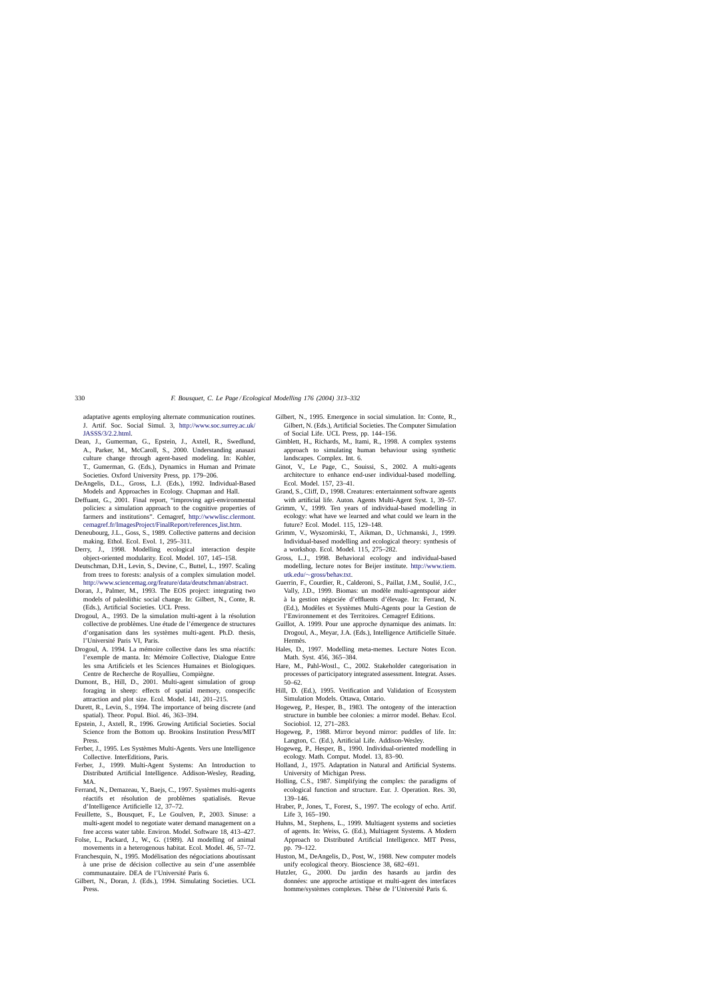<span id="page-17-0"></span>adaptative agents employing alternate communication routines. J. Artif. Soc. Social Simul. 3, [http://www.soc.surrey.ac.uk/](http://www.soc.surrey.ac.uk/JASSS/3/2.2.html) [JASSS/3/2.2.html.](http://www.soc.surrey.ac.uk/JASSS/3/2.2.html)

- Dean, J., Gumerman, G., Epstein, J., Axtell, R., Swedlund, A., Parker, M., McCaroll, S., 2000. Understanding anasazi culture change through agent-based modeling. In: Kohler, T., Gumerman, G. (Eds.), Dynamics in Human and Primate Societies. Oxford University Press, pp. 179–206.
- DeAngelis, D.L., Gross, L.J. (Eds.), 1992. Individual-Based Models and Approaches in Ecology. Chapman and Hall.
- Deffuant, G., 2001. Final report, "improving agri-environmental policies: a simulation approach to the cognitive properties of farmers and institutions". Cemagref, [http://wwwlisc.clermont.](http://wwwlisc.clermont.cemagref.fr/ImagesProject/FinalReport/references_list.htm) [cemagref.fr/ImagesProject/FinalReport/references](http://wwwlisc.clermont.cemagref.fr/ImagesProject/FinalReport/references_list.htm) list.htm.
- Deneubourg, J.L., Goss, S., 1989. Collective patterns and decision making. Ethol. Ecol. Evol. 1, 295–311.
- Derry, J., 1998. Modelling ecological interaction despite object-oriented modularity. Ecol. Model. 107, 145–158.
- Deutschman, D.H., Levin, S., Devine, C., Buttel, L., 1997. Scaling from trees to forests: analysis of a complex simulation model. [http://www.sciencemag.org/feature/data/deutschman/abstract.](http://www.sciencemag.org/feature/data/deutschman/abstract)
- Doran, J., Palmer, M., 1993. The EOS project: integrating two models of paleolithic social change. In: Gilbert, N., Conte, R. (Eds.), Artificial Societies. UCL Press.
- Drogoul, A., 1993. De la simulation multi-agent à la résolution collective de problèmes. Une étude de l'émergence de structures d'organisation dans les systèmes multi-agent. Ph.D. thesis, l'Université Paris VI, Paris.
- Drogoul, A. 1994. La mémoire collective dans les sma réactifs: l'exemple de manta. In: Mémoire Collective, Dialogue Entre les sma Artificiels et les Sciences Humaines et Biologiques. Centre de Recherche de Royallieu, Compiègne.
- Dumont, B., Hill, D., 2001. Multi-agent simulation of group foraging in sheep: effects of spatial memory, conspecific attraction and plot size. Ecol. Model. 141, 201–215.
- Durett, R., Levin, S., 1994. The importance of being discrete (and spatial). Theor. Popul. Biol. 46, 363–394.
- Epstein, J., Axtell, R., 1996. Growing Artificial Societies. Social Science from the Bottom up. Brookins Institution Press/MIT Press.
- Ferber, J., 1995. Les Systèmes Multi-Agents. Vers une Intelligence Collective. InterEditions, Paris.
- Ferber, J., 1999. Multi-Agent Systems: An Introduction to Distributed Artificial Intelligence. Addison-Wesley, Reading, MA.
- Ferrand, N., Demazeau, Y., Baejs, C., 1997. Systèmes multi-agents réactifs et résolution de problèmes spatialisés. Revue d'Intelligence Artificielle 12, 37–72.
- Feuillette, S., Bousquet, F., Le Goulven, P., 2003. Sinuse: a multi-agent model to negotiate water demand management on a free access water table. Environ. Model. Software 18, 413–427.
- Folse, L., Packard, J., W., G. (1989). AI modelling of animal movements in a heterogenous habitat. Ecol. Model. 46, 57–72.
- Franchesquin, N., 1995. Modélisation des négociations aboutissant à une prise de décision collective au sein d'une assemblée communautaire. DEA de l'Université Paris 6.
- Gilbert, N., Doran, J. (Eds.), 1994. Simulating Societies. UCL Press.
- Gilbert, N., 1995. Emergence in social simulation. In: Conte, R., Gilbert, N. (Eds.), Artificial Societies. The Computer Simulation of Social Life. UCL Press, pp. 144–156.
- Gimblett, H., Richards, M., Itami, R., 1998. A complex systems approach to simulating human behaviour using synthetic landscapes. Complex. Int. 6.
- Ginot, V., Le Page, C., Souissi, S., 2002. A multi-agents architecture to enhance end-user individual-based modelling. Ecol. Model. 157, 23–41.
- Grand, S., Cliff, D., 1998. Creatures: entertainment software agents with artificial life. Auton. Agents Multi-Agent Syst. 1, 39–57.
- Grimm, V., 1999. Ten years of individual-based modelling in ecology: what have we learned and what could we learn in the future? Ecol. Model. 115, 129–148.
- Grimm, V., Wyszomirski, T., Aikman, D., Uchmanski, J., 1999. Individual-based modelling and ecological theory: synthesis of a workshop. Ecol. Model. 115, 275–282.
- Gross, L.J., 1998. Behavioral ecology and individual-based modelling, lecture notes for Beijer institute. [http://www.tiem.](http://www.tiem.utk.edu/~gross/behav.txt) utk.edu/∼[gross/behav.txt](http://www.tiem.utk.edu/~gross/behav.txt).
- Guerrin, F., Courdier, R., Calderoni, S., Paillat, J.M., Soulié, J.C., Vally, J.D., 1999. Biomas: un modèle multi-agentspour aider à la gestion négociée d'effluents d'élevage. In: Ferrand, N. (Ed.), Modèles et Systèmes Multi-Agents pour la Gestion de l'Environnement et des Territoires. Cemagref Editions.
- Guillot, A. 1999. Pour une approche dynamique des animats. In: Drogoul, A., Meyar, J.A. (Eds.), Intelligence Artificielle Située. Hermès.
- Hales, D., 1997. Modelling meta-memes. Lecture Notes Econ. Math. Syst. 456, 365–384.
- Hare, M., Pahl-Wostl., C., 2002. Stakeholder categorisation in processes of participatory integrated assessment. Integrat. Asses. 50–62.
- Hill, D. (Ed.), 1995. Verification and Validation of Ecosystem Simulation Models. Ottawa, Ontario.
- Hogeweg, P., Hesper, B., 1983. The ontogeny of the interaction structure in bumble bee colonies: a mirror model. Behav. Ecol. Sociobiol. 12, 271–283.
- Hogeweg, P., 1988. Mirror beyond mirror: puddles of life. In: Langton, C. (Ed.), Artificial Life. Addison-Wesley.
- Hogeweg, P., Hesper, B., 1990. Individual-oriented modelling in ecology. Math. Comput. Model. 13, 83–90.
- Holland, J., 1975. Adaptation in Natural and Artificial Systems. University of Michigan Press.
- Holling, C.S., 1987. Simplifying the complex: the paradigms of ecological function and structure. Eur. J. Operation. Res. 30, 139–146.
- Hraber, P., Jones, T., Forest, S., 1997. The ecology of echo. Artif. Life 3, 165–190.
- Huhns, M., Stephens, L., 1999. Multiagent systems and societies of agents. In: Weiss, G. (Ed.), Multiagent Systems. A Modern Approach to Distributed Artificial Intelligence. MIT Press, pp. 79–122.
- Huston, M., DeAngelis, D., Post, W., 1988. New computer models unify ecological theory. Bioscience 38, 682–691.
- Hutzler, G., 2000. Du jardin des hasards au jardin des données: une approche artistique et multi-agent des interfaces homme/systèmes complexes. Thèse de l'Université Paris 6.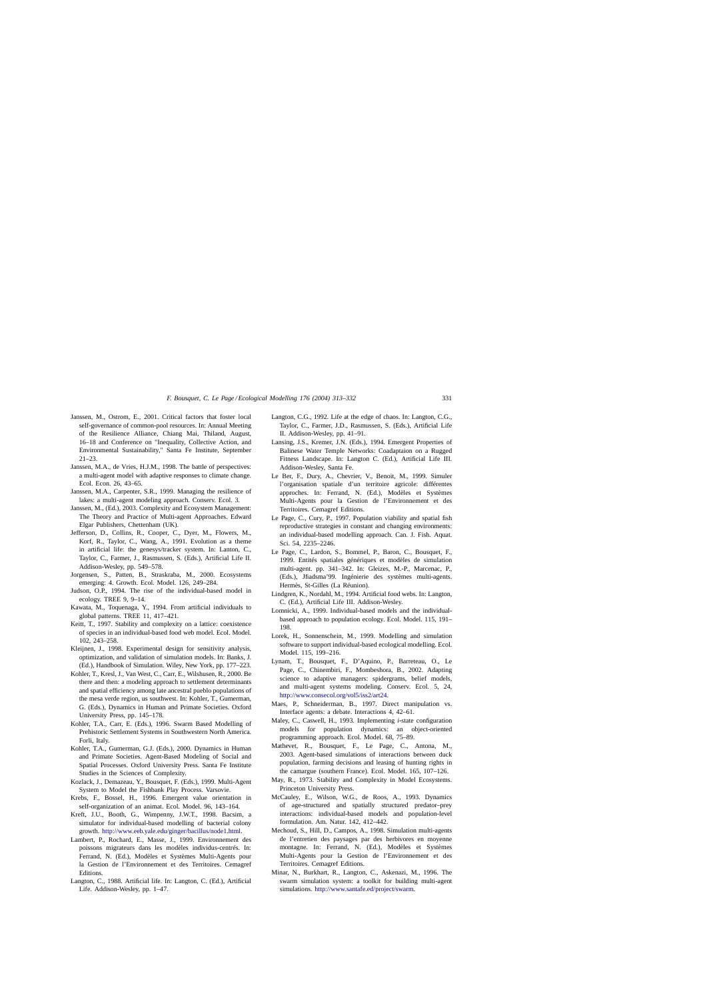- <span id="page-18-0"></span>Janssen, M., Ostrom, E., 2001. Critical factors that foster local self-governance of common-pool resources. In: Annual Meeting of the Resilience Alliance, Chiang Mai, Thiland, August, 16–18 and Conference on "Inequality, Collective Action, and Environmental Sustainability," Santa Fe Institute, September 21–23.
- Janssen, M.A., de Vries, H.J.M., 1998. The battle of perspectives: a multi-agent model with adaptive responses to climate change. Ecol. Econ. 26, 43–65.
- Janssen, M.A., Carpenter, S.R., 1999. Managing the resilience of lakes: a multi-agent modeling approach. Conserv. Ecol. 3.
- Janssen, M., (Ed.), 2003. Complexity and Ecosystem Management: The Theory and Practice of Multi-agent Approaches. Edward Elgar Publishers, Chettenham (UK).
- Jefferson, D., Collins, R., Cooper, C., Dyer, M., Flowers, M., Korf, R., Taylor, C., Wang, A., 1991. Evolution as a theme in artificial life: the genesys/tracker system. In: Lanton, C., Taylor, C., Farmer, J., Rasmussen, S. (Eds.), Artificial Life II. Addison-Wesley, pp. 549–578.
- Jorgensen, S., Patten, B., Straskraba, M., 2000. Ecosystems emerging: 4. Growth. Ecol. Model. 126, 249–284.
- Judson, O.P., 1994. The rise of the individual-based model in ecology. TREE 9, 9–14.
- Kawata, M., Toquenaga, Y., 1994. From artificial individuals to global patterns. TREE 11, 417–421.
- Keitt, T., 1997. Stability and complexity on a lattice: coexistence of species in an individual-based food web model. Ecol. Model. 102, 243–258.
- Kleijnen, J., 1998. Experimental design for sensitivity analysis, optimization, and validation of simulation models. In: Banks, J. (Ed.), Handbook of Simulation. Wiley, New York, pp. 177–223.
- Kohler, T., Kresl, J., Van West, C., Carr, E., Wilshusen, R., 2000. Be there and then: a modeling approach to settlement determinants and spatial efficiency among late ancestral pueblo populations of the mesa verde region, us southwest. In: Kohler, T., Gumerman, G. (Eds.), Dynamics in Human and Primate Societies. Oxford University Press, pp. 145–178.
- Kohler, T.A., Carr, E. (Eds.), 1996. Swarm Based Modelling of Prehistoric Settlement Systems in Southwestern North America. Forli, Italy.
- Kohler, T.A., Gumerman, G.J. (Eds.), 2000. Dynamics in Human and Primate Societies. Agent-Based Modeling of Social and Spatial Processes. Oxford University Press. Santa Fe Institute Studies in the Sciences of Complexity.
- Kozlack, J., Demazeau, Y., Bousquet, F. (Eds.), 1999. Multi-Agent System to Model the Fishbank Play Process. Varsovie.
- Krebs, F., Bossel, H., 1996. Emergent value orientation in self-organization of an animat. Ecol. Model. 96, 143–164.
- Kreft, J.U., Booth, G., Wimpenny, J.W.T., 1998. Bacsim, a simulator for individual-based modelling of bacterial colony growth. [http://www.eeb.yale.edu/ginger/bacillus/node1.html.](http://www.eeb.yale.edu/ginger/bacillus/node1.html)
- Lambert, P., Rochard, E., Masse, J., 1999. Environnement des poissons migrateurs dans les modèles individus-centrés. In: Ferrand, N. (Ed.), Modèles et Systèmes Multi-Agents pour la Gestion de l'Environnement et des Territoires. Cemagref Editions.
- Langton, C., 1988. Artificial life. In: Langton, C. (Ed.), Artificial Life. Addison-Wesley, pp. 1–47.
- Langton, C.G., 1992. Life at the edge of chaos. In: Langton, C.G., Taylor, C., Farmer, J.D., Rasmussen, S. (Eds.), Artificial Life II. Addison-Wesley, pp. 41–91.
- Lansing, J.S., Kremer, J.N. (Eds.), 1994. Emergent Properties of Balinese Water Temple Networks: Coadaptaion on a Rugged Fitness Landscape. In: Langton C. (Ed.), Artificial Life III. Addison-Wesley, Santa Fe.
- Le Ber, F., Dury, A., Chevrier, V., Benoit, M., 1999. Simuler l'organisation spatiale d'un territoire agricole: différentes approches. In: Ferrand, N. (Ed.), Modèles et Systèmes Multi-Agents pour la Gestion de l'Environnement et des Territoires. Cemagref Editions.
- Le Page, C., Cury, P., 1997. Population viability and spatial fish reproductive strategies in constant and changing environments: an individual-based modelling approach. Can. J. Fish. Aquat. Sci. 54, 2235–2246.
- Le Page, C., Lardon, S., Bommel, P., Baron, C., Bousquet, F., 1999. Entités spatiales génériques et modèles de simulation multi-agent. pp. 341–342. In: Gleizes, M.-P., Marcenac, P., (Eds.), Jfiadsma'99. Ingénierie des systèmes multi-agents. Hermès, St-Gilles (La Réunion).
- Lindgren, K., Nordahl, M., 1994. Artificial food webs. In: Langton, C. (Ed.), Artificial Life III. Addison-Wesley.
- Lomnicki, A., 1999. Individual-based models and the individualbased approach to population ecology. Ecol. Model. 115, 191– 198.
- Lorek, H., Sonnenschein, M., 1999. Modelling and simulation software to support individual-based ecological modelling. Ecol. Model. 115, 199–216.
- Lynam, T., Bousquet, F., D'Aquino, P., Barreteau, O., Le Page, C., Chinembiri, F., Mombeshora, B., 2002. Adapting science to adaptive managers: spidergrams, belief models, and multi-agent systems modeling. Conserv. Ecol. 5, 24, [http://www.consecol.org/vol5/iss2/art24.](http://www.consecol.org/vol5/iss2/art24)
- Maes, P., Schneiderman, B., 1997. Direct manipulation vs. Interface agents: a debate. Interactions 4, 42–61.
- Maley, C., Caswell, H., 1993. Implementing *i*-state configuration models for population dynamics: an object-oriented programming approach. Ecol. Model. 68, 75–89.
- Mathevet, R., Bousquet, F., Le Page, C., Antona, M., 2003. Agent-based simulations of interactions between duck population, farming decisions and leasing of hunting rights in the camargue (southern France). Ecol. Model. 165, 107–126.
- May, R., 1973. Stability and Complexity in Model Ecosystems. Princeton University Press.
- McCauley, E., Wilson, W.G., de Roos, A., 1993. Dynamics of age-structured and spatially structured predator–prey interactions: individual-based models and population-level formulation. Am. Natur. 142, 412–442.
- Mechoud, S., Hill, D., Campos, A., 1998. Simulation multi-agents de l'entretien des paysages par des herbivores en moyenne montagne. In: Ferrand, N. (Ed.), Modèles et Systèmes Multi-Agents pour la Gestion de l'Environnement et des Territoires. Cemagref Editions.
- Minar, N., Burkhart, R., Langton, C., Askenazi, M., 1996. The swarm simulation system: a toolkit for building multi-agent simulations. [http://www.santafe.ed/project/swarm.](http://www.santafe.ed/project/swarm)